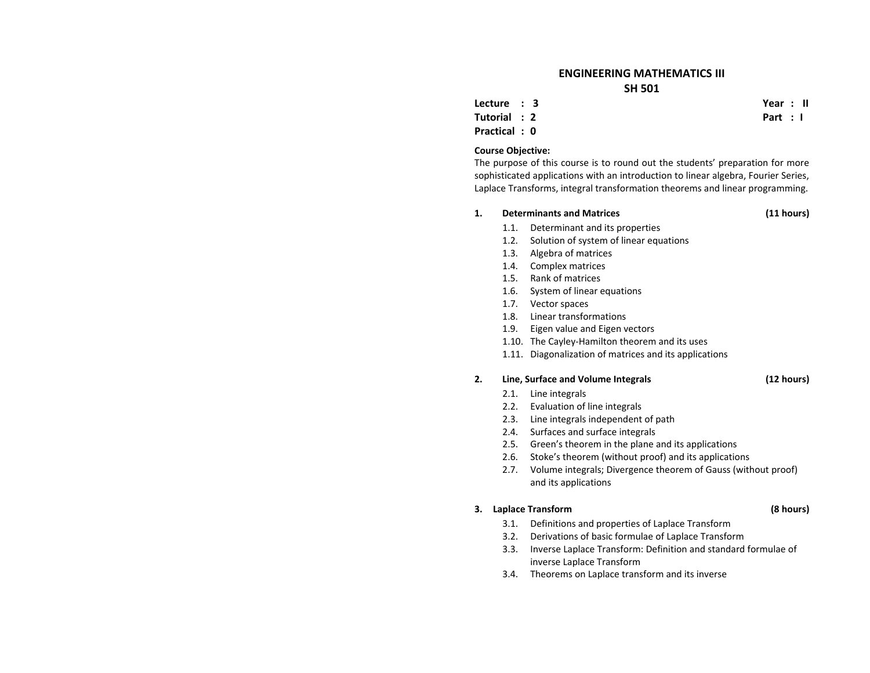## **ENGINEERING MATHEMATICS III SH 501**

**Lecture : 3**

**Tutorial : 2**

**Practical : 0**

### **Course Objective:**

The purpose of this course is to round out the students' preparation for more sophisticated applications with an introduction to linear algebra, Fourier Series, Laplace Transforms, integral transformation theorems and linear programming.

#### **1.Determinants and**

- 1.1.Determinant and its properties
- 1.2.. Solution of system of linear equations
- 1.3. Algebra of matrices
- 1.4. Complex matrices
- 1.5. Rank of matrices
- 1.6.System of linear equations
- 1.7. Vector spaces
- 1.8. Linear transformations
- 1.9.Eigen value and Eigen vectors
- 1.10. The Cayley‐Hamilton theorem and its uses
- 1.11. Diagonalization of matrices and its applications

#### **2.Line, Surface and Volume Integrals (12 hours)**

- 2.1.. Line integrals
- 2.2. Evaluation of line integrals
- 2.3. Line integrals independent of path
- 2.4. Surfaces and surface integrals
- 2.5. Green's theorem in the plane and its applications
- 2.6.Stoke's theorem (without proof) and its applications
- 2.7. Volume integrals; Divergence theorem of Gauss (without proof) and its applications

### **3. Laplace Transform (8 hours)**

- 3.1.Definitions and properties of Laplace Transform
- 3.2.Derivations of basic formulae of Laplace Transform
- 3.3.. Inverse Laplace Transform: Definition and standard formulae of inverse Laplace Transform
- 3.4.Theorems on Laplace transform and its inverse

 **Year : II Part : I**

**Matrices (11 hours)**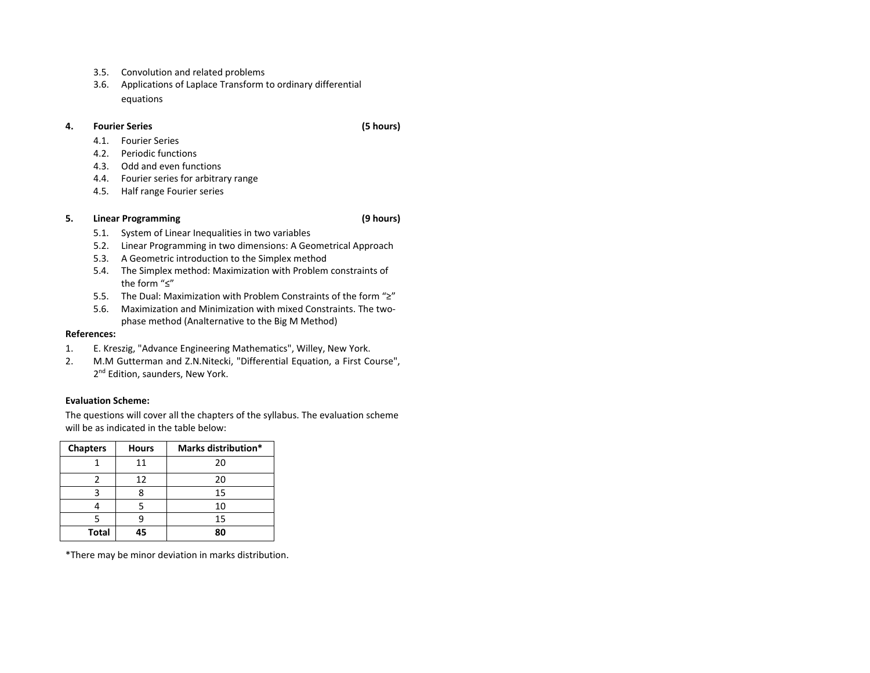- 3.5.Convolution and related problems
- 3.6. Applications of Laplace Transform to ordinary differential equations

#### **4.Fourier Series**

- 4.1.Fourier Series
- 4.2.Periodic functions
- 4.3. Odd and even functions
- 4.4. Fourier series for arbitrary range
- 4.5.. Half range Fourier series

#### **5.Linear Programming (9 hours)**

- 5.1.System of Linear Inequalities in two variables
- 5.2.Linear Programming in two dimensions: A Geometrical Approach
- 5.3. A Geometric introduction to the Simplex method
- 5.4. The Simplex method: Maximization with Problem constraints of the form "≤"
- 5.5.The Dual: Maximization with Problem Constraints of the form "≥"
- 5.6. Maximization and Minimization with mixed Constraints. The two‐ phase method (Analternative to the Big M Method)

### **References:**

- 1.E. Kreszig, "Advance Engineering Mathematics", Willey, New York.
- 2. M.M Gutterman and Z.N.Nitecki, "Differential Equation, <sup>a</sup> First Course", 2<sup>nd</sup> Edition, saunders, New York.

### **Evaluation Scheme:**

The questions will cover all the chapters of the syllabus. The evaluation scheme will be as indicated in the table below:

| <b>Chapters</b> | <b>Hours</b> | Marks distribution* |
|-----------------|--------------|---------------------|
|                 | 11           | 20                  |
|                 | 12           | 20                  |
|                 |              | 15                  |
|                 |              | 10                  |
|                 |              | 15                  |
| <b>Total</b>    | 45           | 80                  |

\*There may be minor deviation in marks distribution.

**(5 hours)**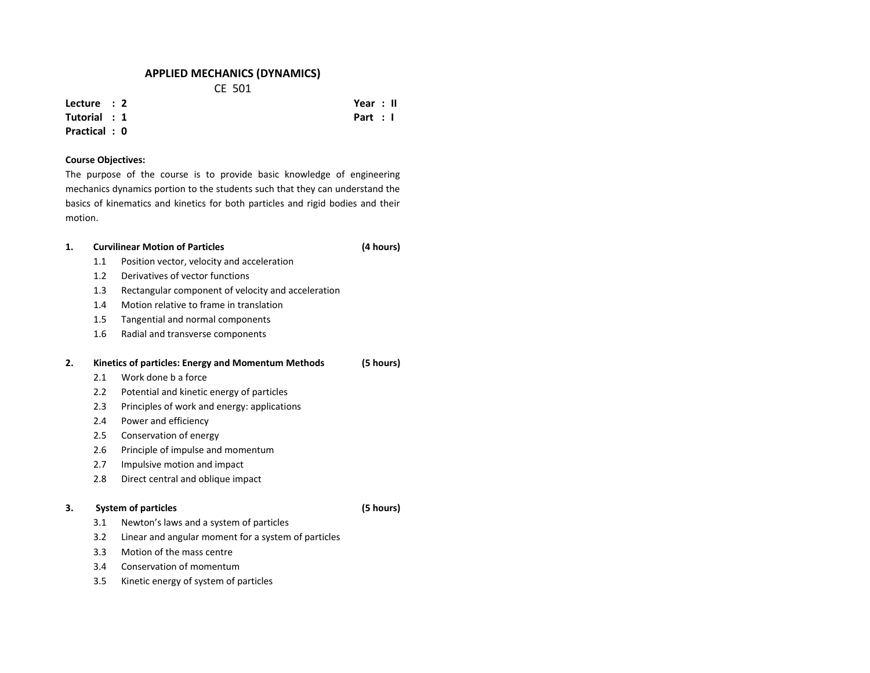## **APPLIED MECHANICS (DYNAMICS)**

CE 501

**Lecture : 2**

### **Tutorial : 1Practical : 0**

## **Course Objectives:**

The purpose of the course is to provide basic knowledge of engineering mechanics dynamics portion to the students such that they can understand the basics of kinematics and kinetics for both particles and rigid bodies and their motion.

### **1. Curvilinear Motion of Particles (4 hours)** 1.1 Position vector, velocity and acceleration 1.2 Derivatives of vector functions 1.3 Rectangular component of velocity and acceleration 1.4 Motion relative to frame in translation 1.5 Tangential and normal components 1.66 Radial and transverse components **2. Kinetics of particles: Energy and Momentum Methods (5 hours)** 2.1 Work done b <sup>a</sup> force 2.2 Potential and kinetic energy of particles 2.3 Principles of work and energy: applications 2.4 Power and efficiency 2.55 Conservation of energy 2.6 Principle of impulse and momentum 2.7 Impulsive motion and impact 2.8 Direct central and oblique impact **3. System of particles (5 hours)** 3.1 Newton's laws and <sup>a</sup> system of particles 3.2 Linear and angular moment for <sup>a</sup> system of particles 3.3Motion of the mass centre

- 3.4Conservation of momentum
- 3.5Kinetic energy of system of particles

 **Year : II Part : I**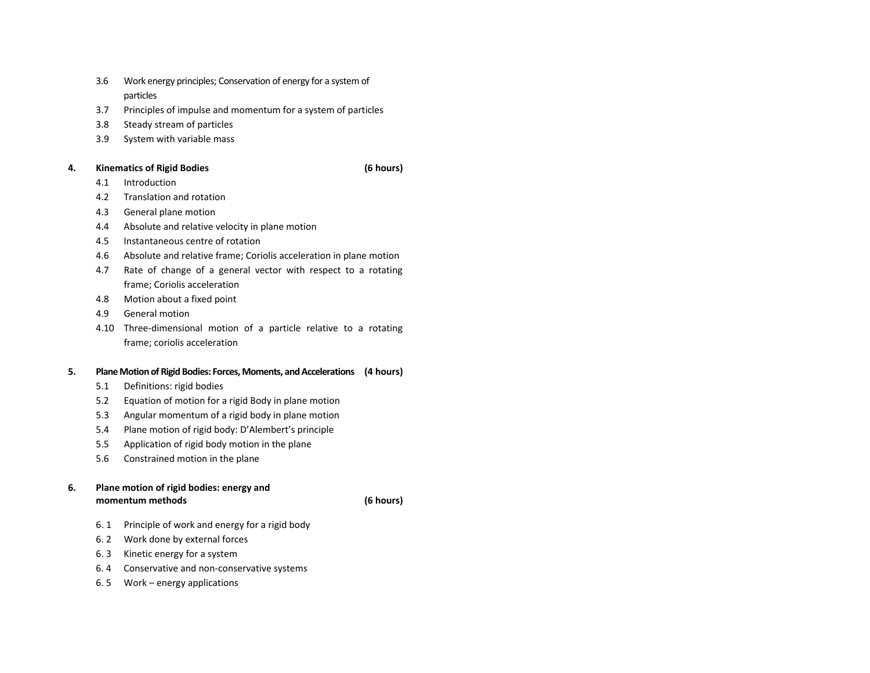- 3.6 Work energy principles; Conservation of energy for <sup>a</sup> system of particles
- 3.7Principles of impulse and momentum for <sup>a</sup> system of particles
- 3.8Steady stream of particles
- 3.9System with variable mass

### **4.Kinematics of Rigid Bodies (6 hours)**

- 4.1Introduction
- 4.22 Translation and rotation
- 4.3General plane motion
- 4.4Absolute and relative velocity in plane motion
- 4.5Instantaneous centre of rotation
- 4.6Absolute and relative frame; Coriolis acceleration in plane motion
- 4.7 Rate of change of <sup>a</sup> general vector with respect to <sup>a</sup> rotating frame; Coriolis acceleration
- 4.8Motion about <sup>a</sup> fixed point
- 4.9General motion
- 4.10 Three‐dimensional motion of <sup>a</sup> particle relative to <sup>a</sup> rotating frame; coriolis acceleration

### **5.PlaneMotion of Rigid Bodies: Forces,Moments, andAccelerations (4 hours)**

- 5.1Definitions: rigid bodies
- 5.2Equation of motion for <sup>a</sup> rigid Body in plane motion
- 5.3Angular momentum of <sup>a</sup> rigid body in plane motion
- 5.4Plane motion of rigid body: D'Alembert's principle
- 5.5Application of rigid body motion in the plane
- 5.6Constrained motion in the plane

### **6. Plane motion of rigid bodies: energy and momentum methods (6 hours)**

- 6. 1Principle of work and energy for <sup>a</sup> rigid body
- 6. 2 Work done by external forces
- 6. 3Kinetic energy for <sup>a</sup> system
- 6. 4 Conservative and non‐conservative systems
- 6. 5 Work energy applications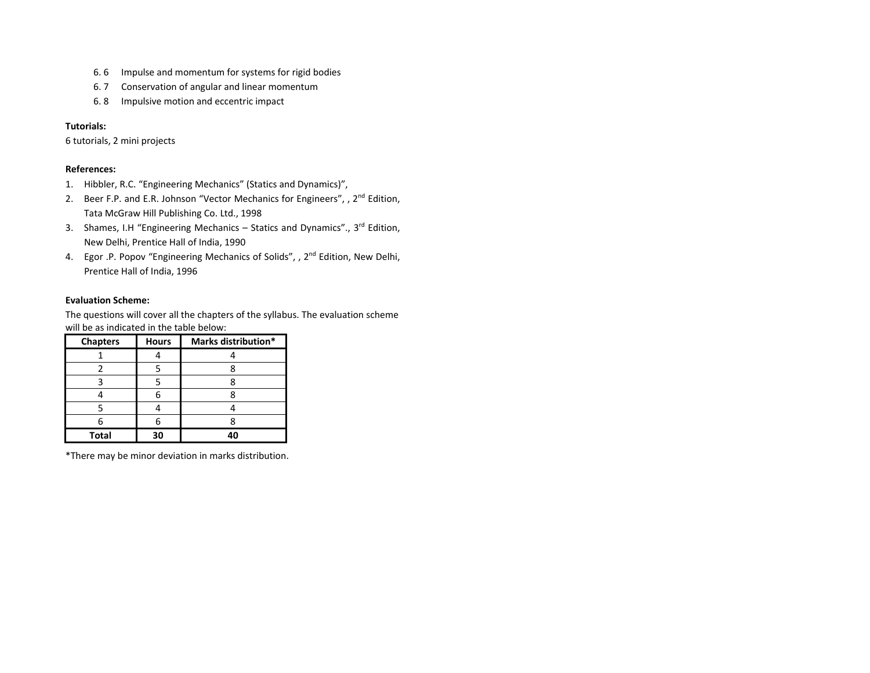- 6. 6Impulse and momentum for systems for rigid bodies
- 6. 7Conservation of angular and linear momentum
- 6. 8Impulsive motion and eccentric impact

### **Tutorials:**

6 tutorials, 2 mini projects

### **References:**

- 1.Hibbler, R.C. "Engineering Mechanics" (Statics and Dynamics)",
- 2.. Beer F.P. and E.R. Johnson "Vector Mechanics for Engineers", , 2<sup>nd</sup> Edition, Tata McGraw Hill Publishing Co. Ltd., 1998
- 3. Shames, I.H "Engineering Mechanics Statics and Dynamics"., 3<sup>rd</sup> Edition, New Delhi, Prentice Hall of India, 1990
- 4. Egor .P. Popov "Engineering Mechanics of Solids", , 2<sup>nd</sup> Edition, New Delhi, Prentice Hall of India, 1996

### **Evaluation Scheme:**

The questions will cover all the chapters of the syllabus. The evaluation scheme will be as indicated in the table below:

| <b>Chapters</b> | <b>Hours</b> | Marks distribution* |
|-----------------|--------------|---------------------|
|                 |              |                     |
|                 |              |                     |
|                 |              |                     |
|                 |              |                     |
|                 |              |                     |
|                 |              |                     |
| <b>Total</b>    | 30           | 40                  |

\*There may be minor deviation in marks distribution.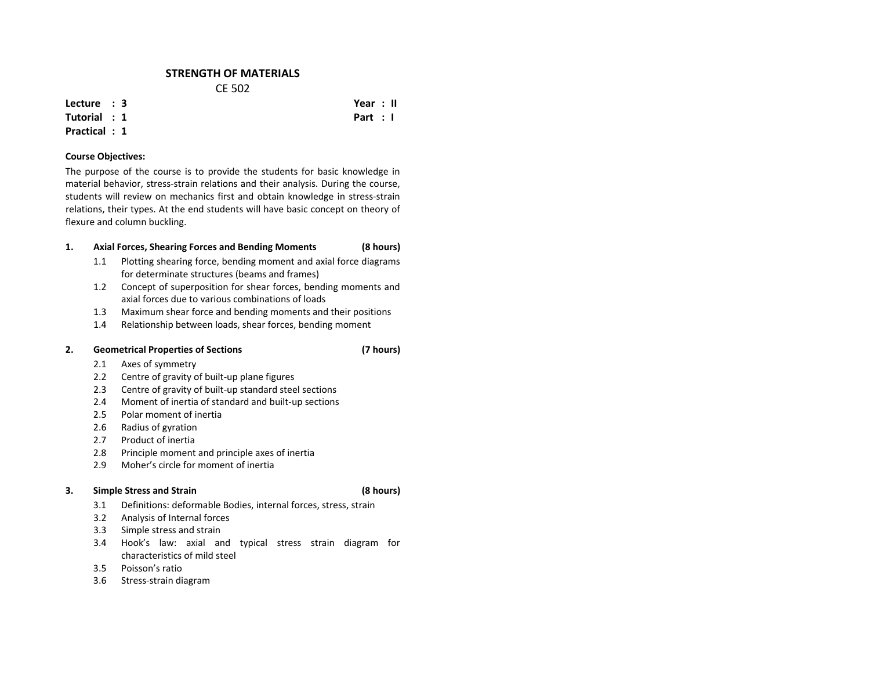## **STRENGTH OF MATERIALS** CE 502

**Lecture : 3**

### **Tutorial : 1Practical : 1**

### **Course Objectives:**

The purpose of the course is to provide the students for basic knowledge in material behavior, stress‐strain relations and their analysis. During the course, students will review on mechanics first and obtain knowledge in stress‐strain relations, their types. At the end students will have basic concept on theory of flexure and column buckling.

### **1.Axial Forces, Shearing Forces and Bending Moments (8 hours)**

- 1.1 Plotting shearing force, bending moment and axial force diagrams for determinate structures (beams and frames)
- 1.2 Concept of superposition for shear forces, bending moments and axial forces due to various combinations of loads
- 1.3Maximum shear force and bending moments and their positions
- 1.4Relationship between loads, shear forces, bending moment

#### **2.Geometrical Properties of Sections (7 hours)**

- 2.1Axes of symmetry
- 2.2Centre of gravity of built‐up plane figures
- 2.3Centre of gravity of built‐up standard steel sections
- 2.4Moment of inertia of standard and built‐up sections
- $2.5$ Polar moment of inertia
- 2.6Radius of gyration
- 2.7Product of inertia
- 2.8Principle moment and principle axes of inertia
- 2.9Moher's circle for moment of inertia

#### **3.Simple Stress and Strain (8 hours)**

- 3.1Definitions: deformable Bodies, internal forces, stress, strain
- 3.2Analysis of Internal forces
- 3.3Simple stress and strain
- 3.4 Hook's law: axial and typical stress strain diagram for characteristics of mild steel
- 3.5Poisson's ratio
- 3.66 Stress-strain diagram

 **Year : II Part : I**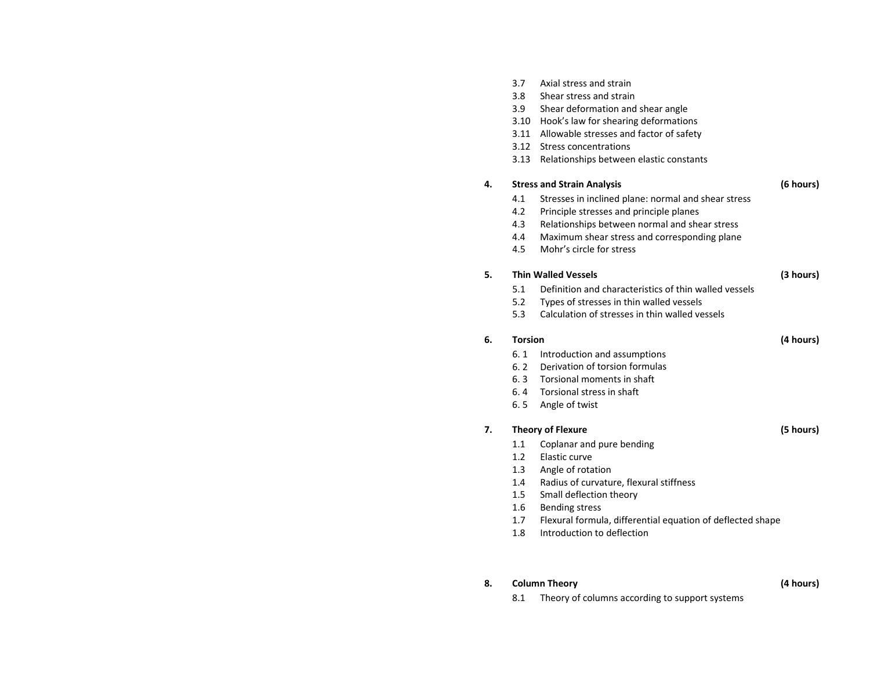|    | 3.7<br>3.8<br>3.9<br>3.10<br>3.11<br>3.12<br>3.13 | Axial stress and strain<br>Shear stress and strain<br>Shear deformation and shear angle<br>Hook's law for shearing deformations<br>Allowable stresses and factor of safety<br>Stress concentrations<br>Relationships between elastic constants |           |
|----|---------------------------------------------------|------------------------------------------------------------------------------------------------------------------------------------------------------------------------------------------------------------------------------------------------|-----------|
| 4. |                                                   | <b>Stress and Strain Analysis</b>                                                                                                                                                                                                              | (6 hours) |
|    | 4.1                                               | Stresses in inclined plane: normal and shear stress                                                                                                                                                                                            |           |
|    | 4.2                                               | Principle stresses and principle planes                                                                                                                                                                                                        |           |
|    | 4.3                                               | Relationships between normal and shear stress                                                                                                                                                                                                  |           |
|    | 4.4                                               | Maximum shear stress and corresponding plane                                                                                                                                                                                                   |           |
|    | 4.5                                               | Mohr's circle for stress                                                                                                                                                                                                                       |           |
| 5. |                                                   | <b>Thin Walled Vessels</b>                                                                                                                                                                                                                     | (3 hours) |
|    | 5.1                                               | Definition and characteristics of thin walled vessels                                                                                                                                                                                          |           |
|    | 5.2                                               | Types of stresses in thin walled vessels                                                                                                                                                                                                       |           |
|    | 5.3                                               | Calculation of stresses in thin walled vessels                                                                                                                                                                                                 |           |
| 6. | <b>Torsion</b>                                    |                                                                                                                                                                                                                                                | (4 hours) |
|    | 6.1                                               | Introduction and assumptions                                                                                                                                                                                                                   |           |
|    | 6.2                                               | Derivation of torsion formulas                                                                                                                                                                                                                 |           |
|    | 6.3                                               | Torsional moments in shaft                                                                                                                                                                                                                     |           |
|    | 6.4                                               | Torsional stress in shaft                                                                                                                                                                                                                      |           |
|    | 6.5                                               | Angle of twist                                                                                                                                                                                                                                 |           |
| 7. |                                                   | <b>Theory of Flexure</b>                                                                                                                                                                                                                       | (5 hours) |
|    | 1.1                                               | Coplanar and pure bending                                                                                                                                                                                                                      |           |
|    | 1.2 <sub>2</sub>                                  | Elastic curve                                                                                                                                                                                                                                  |           |
|    | 1.3                                               | Angle of rotation                                                                                                                                                                                                                              |           |
|    | 1.4                                               | Radius of curvature, flexural stiffness                                                                                                                                                                                                        |           |
|    | 1.5                                               | Small deflection theory                                                                                                                                                                                                                        |           |
|    | 1.6                                               | <b>Bending stress</b>                                                                                                                                                                                                                          |           |
|    | 1.7                                               | Flexural formula, differential equation of deflected shape                                                                                                                                                                                     |           |
|    | 1.8                                               | Introduction to deflection                                                                                                                                                                                                                     |           |

### **8.Column Theory (4 hours)**

8.1Theory of columns according to support systems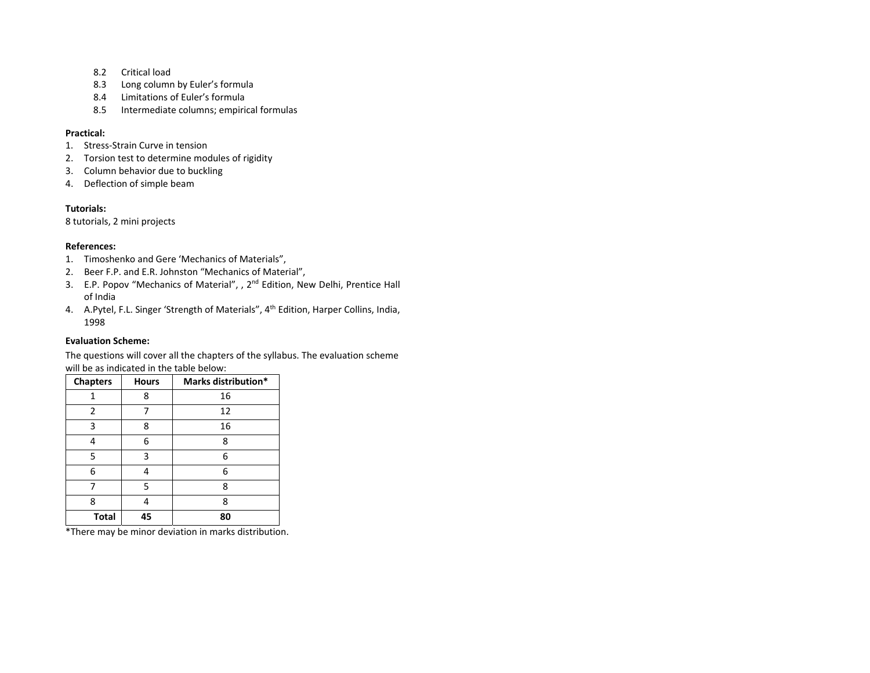- 8.2 Critical load
- 8.3Long column by Euler's formula
- 8.4 Limitations of Euler's formula
- 8.5Intermediate columns; empirical formulas

### **Practical:**

- 1. Stress‐Strain Curve in tension
- 2. Torsion test to determine modules of rigidity
- 3. Column behavior due to buckling
- 4. Deflection of simple beam

### **Tutorials:**

8 tutorials, 2 mini projects

### **References:**

- 1. Timoshenko and Gere 'Mechanics of Materials",
- 2. Beer F.P. and E.R. Johnston "Mechanics of Material",
- 3. E.P. Popov "Mechanics of Material", , 2<sup>nd</sup> Edition, New Delhi, Prentice Hall of India
- 4. A.Pytel, F.L. Singer 'Strength of Materials", 4<sup>th</sup> Edition, Harper Collins, India, 1998

### **Evaluation Scheme:**

The questions will cover all the chapters of the syllabus. The evaluation scheme will be as indicated in the table below:

| <b>Chapters</b> | <b>Hours</b> | Marks distribution* |
|-----------------|--------------|---------------------|
| 1               | 8            | 16                  |
| 2               | 7            | 12                  |
| 3               | 8            | 16                  |
| 4               | 6            | 8                   |
| 5               | 3            | 6                   |
| 6               | 4            | 6                   |
|                 | 5            | 8                   |
| 8               |              | 8                   |
| <b>Total</b>    | 45           | 80                  |

\*There may be minor deviation in marks distribution.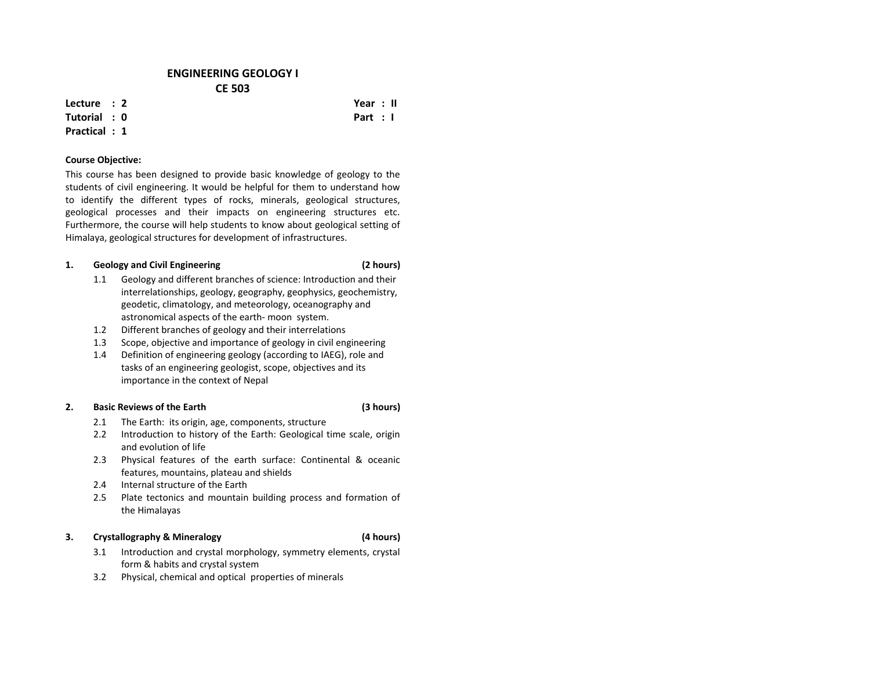## **ENGINEERING GEOLOGY I CE 503**

**Lecture : 2**

### **Tutorial : 0Practical : 1**

## **Course Objective:**

This course has been designed to provide basic knowledge of geology to the students of civil engineering. It would be helpful for them to understand how to identify the different types of rocks, minerals, geological structures, geological processes and their impacts on engineering structures etc. Furthermore, the course will help students to know about geological setting of Himalaya, geological structures for development of infrastructures.

#### **1.Geology and Civil Engineering (2 hours)**

- 1.1 Geology and different branches of science: Introduction and their interrelationships, geology, geography, geophysics, geochemistry, geodetic, climatology, and meteorology, oceanography and astronomical aspects of the earth‐ moon system.
- 1.2Different branches of geology and their interrelations
- 1.3Scope, objective and importance of geology in civil engineering
- 1.4 Definition of engineering geology (according to IAEG), role and tasks of an engineering geologist, scope, objectives and its importance in the context of Nepal

#### **2.Basic Reviews of the Earth**

- 2.1The Earth: its origin, age, components, structure
- 2.22 Introduction to history of the Earth: Geological time scale, origin and evolution of life
- 2.3 Physical features of the earth surface: Continental & oceanic features, mountains, plateau and shields
- 2.4Internal structure of the Earth
- 2.5 Plate tectonics and mountain building process and formation of the Himalayas

### **3.Crystallography & Mineralogy (4 hours)**

- 3.1 Introduction and crystal morphology, symmetry elements, crystal form & habits and crystal system
- 3.2Physical, chemical and optical properties of minerals

## **(3 hours)**

 **Year : II Part : I**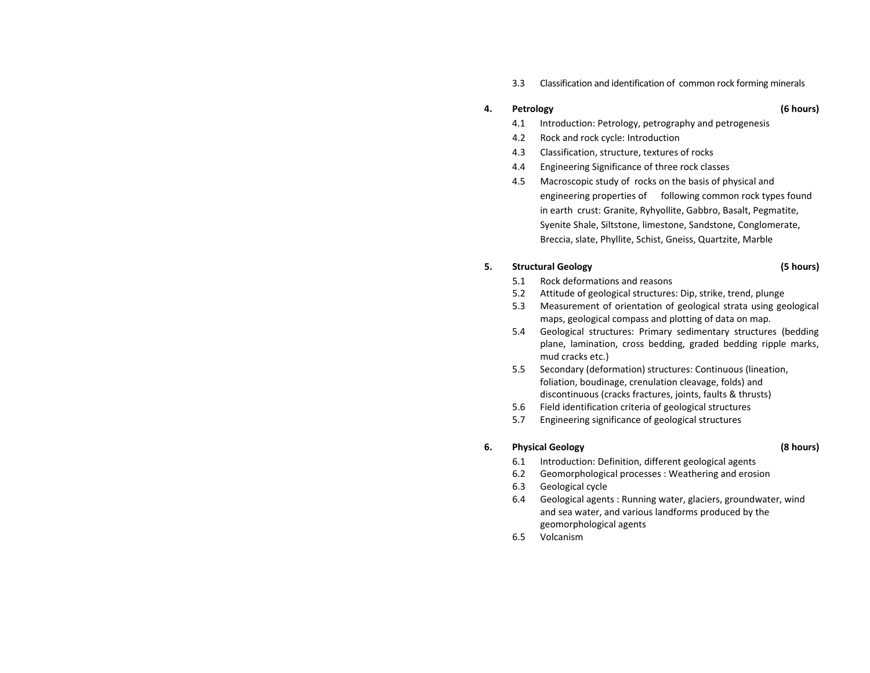3.3Classification and identification of common rock forming minerals

### **4.Petrology (6 hours)**

- 4.1Introduction: Petrology, petrography and petrogenesis
- 4.22 Rock and rock cycle: Introduction
- 4.3Classification, structure, textures of rocks
- 4.4Engineering Significance of three rock classes
- 4.5 Macroscopic study of rocks on the basis of physical and engineering properties of following common rock types found in earth crust: Granite, Ryhyollite, Gabbro, Basalt, Pegmatite, Syenite Shale, Siltstone, limestone, Sandstone, Conglomerate, Breccia, slate, Phyllite, Schist, Gneiss, Quartzite, Marble

### **5.Structural Geology (5 hours)**

- 5.11 Rock deformations and reasons
- 5.2Attitude of geological structures: Dip, strike, trend, plunge
- 5.3 Measurement of orientation of geological strata using geological maps, geological compass and plotting of data on map.
- 5.4 Geological structures: Primary sedimentary structures (bedding plane, lamination, cross bedding, graded bedding ripple marks, mud cracks etc.)
- 5.5 Secondary (deformation) structures: Continuous (lineation, foliation, boudinage, crenulation cleavage, folds) and discontinuous (cracks fractures, joints, faults & thrusts)
- 5.6Field identification criteria of geological structures
- 5.7Engineering significance of geological structures

### **6.Physical Geology (8 hours)**

- 6.1Introduction: Definition, different geological agents
- 6.2Geomorphological processes : Weathering and erosion
- 6.3Geological cycle
- 6.4 Geological agents : Running water, glaciers, groundwater, wind and sea water, and various landforms produced by the geomorphological agents
- 6.5Volcanism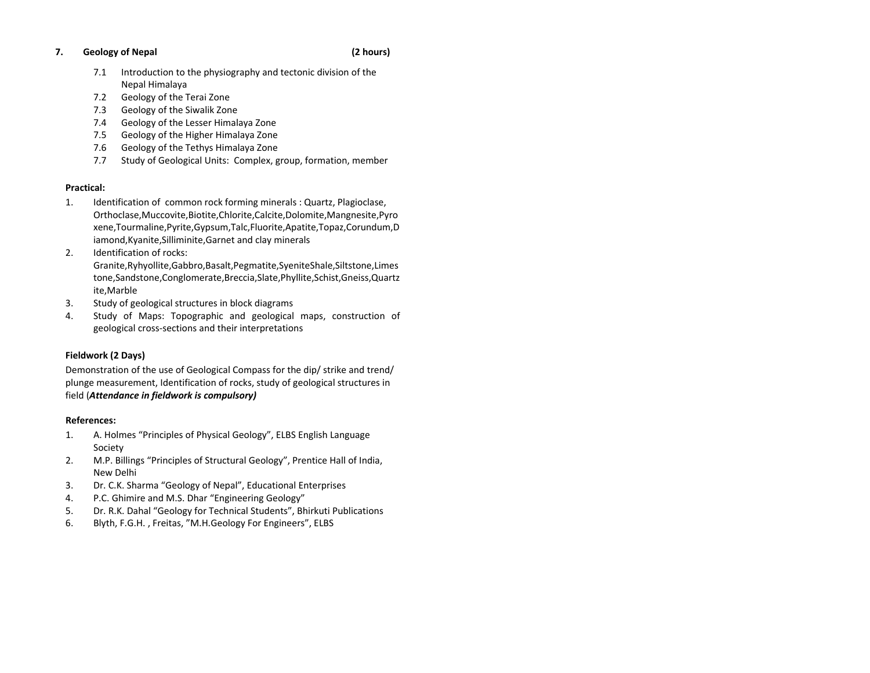### **7.Geology of Nepal (2 hours)**

- 7.1 Introduction to the physiography and tectonic division of the Nepal Himalaya
- 7.2Geology of the Terai Zone
- 7.3Geology of the Siwalik Zone
- 7.4Geology of the Lesser Himalaya Zone
- 7.5Geology of the Higher Himalaya Zone
- 7.6Geology of the Tethys Himalaya Zone
- 7.7Study of Geological Units: Complex, group, formation, member

## **Practical:**

- 1.Identification of common rock forming minerals : Quartz, Plagioclase, Orthoclase,Muccovite,Biotite,Chlorite,Calcite,Dolomite,Mangnesite,Pyro xene,Tourmaline,Pyrite,Gypsum,Talc,Fluorite,Apatite,Topaz,Corundum,D iamond,Kyanite,Silliminite,Garnet and clay minerals
- 2.. Identification of rocks: Granite,Ryhyollite,Gabbro,Basalt,Pegmatite,SyeniteShale,Siltstone,Limes tone,Sandstone,Conglomerate,Breccia,Slate,Phyllite,Schist,Gneiss,Quartz ite,Marble
- 3.Study of geological structures in block diagrams
- 4. Study of Maps: Topographic and geological maps, construction of geological cross‐sections and their interpretations

## **Fieldwork (2 Days)**

Demonstration of the use of Geological Compass for the dip/ strike and trend/ plunge measurement, Identification of rocks, study of geological structures in field (*Attendance in fieldwork is compulsory)*

## **References:**

- 1. A. Holmes "Principles of Physical Geology", ELBS English Language Society
- 2. M.P. Billings "Principles of Structural Geology", Prentice Hall of India, New Delhi
- 3.Dr. C.K. Sharma "Geology of Nepal", Educational Enterprises
- 4.P.C. Ghimire and M.S. Dhar "Engineering Geology"
- 5.Dr. R.K. Dahal "Geology for Technical Students", Bhirkuti Publications
- 6.Blyth, F.G.H. , Freitas, "M.H.Geology For Engineers", ELBS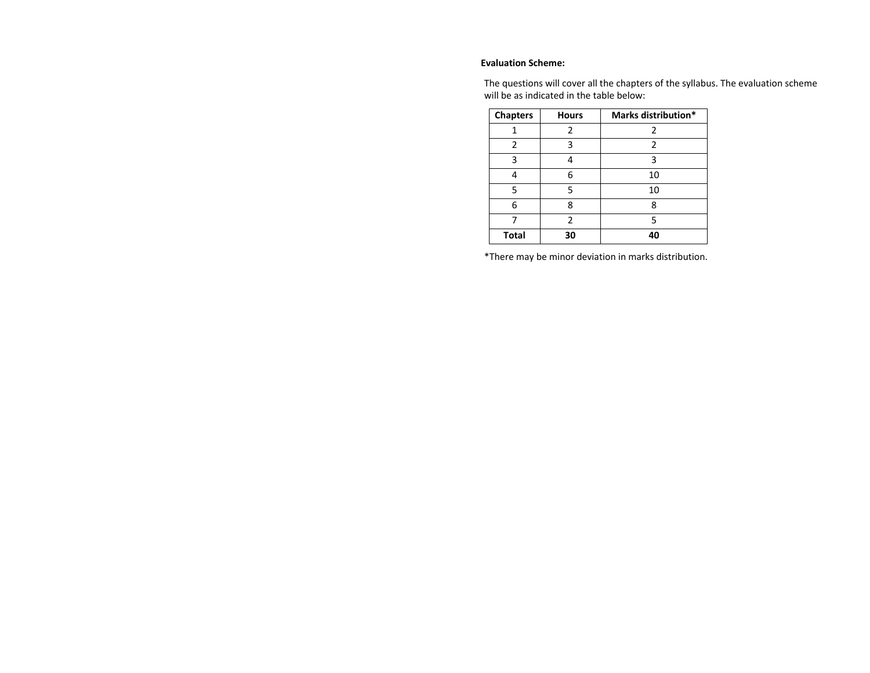## **Evaluation Scheme:**

The questions will cover all the chapters of the syllabus. The evaluation scheme will be as indicated in the table below:

| <b>Chapters</b> | <b>Hours</b> | Marks distribution* |
|-----------------|--------------|---------------------|
|                 | 2            | 2                   |
| 2               | 3            | 2                   |
| 3               |              | 3                   |
|                 | 6            | 10                  |
| 5               | 5            | 10                  |
| 6               | 8            | ጸ                   |
|                 | 2            | 5                   |
| <b>Total</b>    | 30           | 40                  |

\*There may be minor deviation in marks distribution.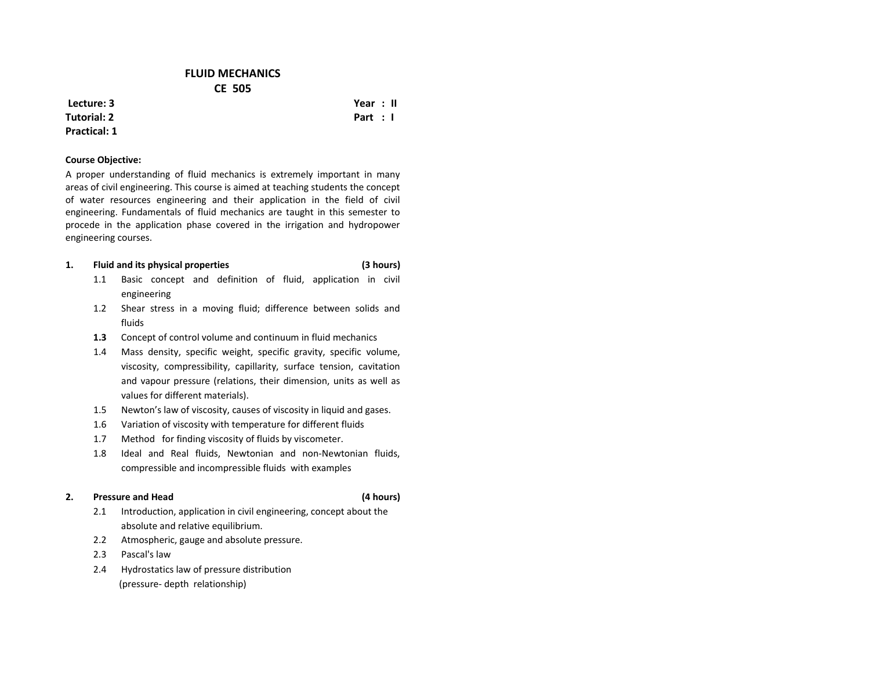## **FLUID MECHANICS CE 505**

**Lecture: 3Tutorial: 2Practical: 1**

**Course Objective:**

A proper understanding of fluid mechanics is extremely important in many areas of civil engineering. This course is aimed at teaching students the concept of water resources engineering and their application in the field of civil engineering. Fundamentals of fluid mechanics are taught in this semester to procede in the application phase covered in the irrigation and hydropower engineering courses.

#### **1.Fluid and its physical properties (3 hours)**

- 1.1 Basic concept and definition of fluid, application in civil engineering
- 1.2 Shear stress in <sup>a</sup> moving fluid; difference between solids and fluids
- **1.3**Concept of control volume and continuum in fluid mechanics
- 1.4 Mass density, specific weight, specific gravity, specific volume, viscosity, compressibility, capillarity, surface tension, cavitation and vapour pressure (relations, their dimension, units as well as values for different materials).
- 1.5Newton's law of viscosity, causes of viscosity in liquid and gases.
- 1.6Variation of viscosity with temperature for different fluids
- 1.7Method for finding viscosity of fluids by viscometer.
- 1.8 Ideal and Real fluids, Newtonian and non‐Newtonian fluids, compressible and incompressible fluids with examples

#### **2.Pressure and**

- 2.1 Introduction, application in civil engineering, concept about the absolute and relative equilibrium.
- 2.2Atmospheric, gauge and absolute pressure.
- 2.3Pascal's law
- Hydrostatics law of pressure distribution 2.4(pressure‐ depth relationship)

## **Year : II Part : I**

### **Head (4 hours)**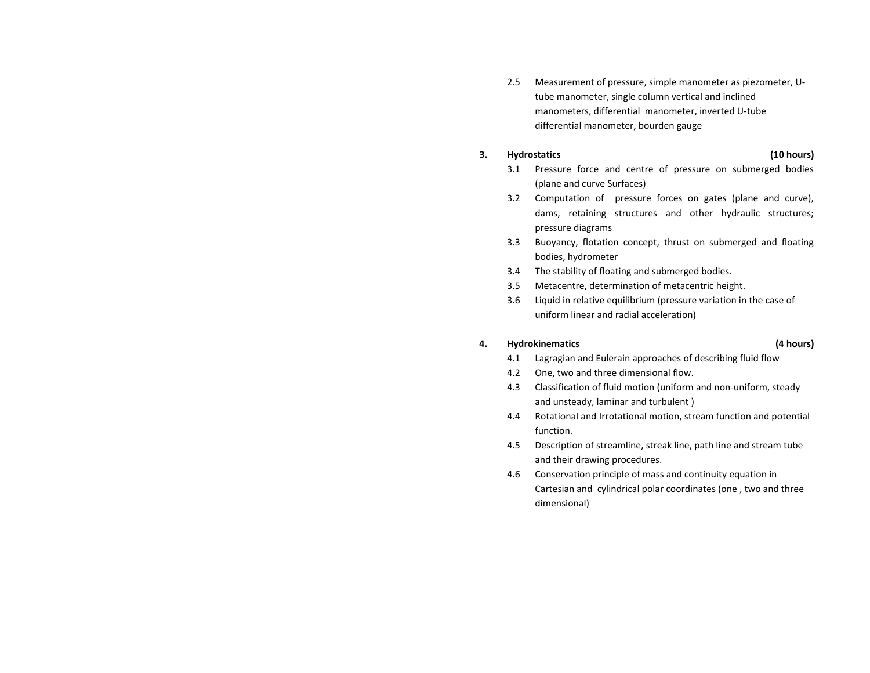2.5 Measurement of pressure, simple manometer as piezometer, U‐ tube manometer, single column vertical and inclined manometers, differential manometer, inverted U‐tube differential manometer, bourden gauge

### **3.Hydrostatics (10 hours)**

- 3.1 Pressure force and centre of pressure on submerged bodies (plane and curve Surfaces)
- 3.2 Computation of pressure forces on gates (plane and curve), dams, retaining structures and other hydraulic structures; pressure diagrams
- 3.3 Buoyancy, flotation concept, thrust on submerged and floating bodies, hydrometer
- 3.4The stability of floating and submerged bodies.
- 3.5Metacentre, determination of metacentric height.
- 3.6 Liquid in relative equilibrium (pressure variation in the case of uniform linear and radial acceleration)

#### **4.Hydrokinematics (4 hours)**

- 4.1Lagragian and Eulerain approaches of describing fluid flow
- 4.2 One, two and three dimensional flow.
- 4.3 Classification of fluid motion (uniform and non‐uniform, steady and unsteady, laminar and turbulent )
- 4.4 Rotational and Irrotational motion, stream function and potential function.
- 4.5 Description of streamline, streak line, path line and stream tube and their drawing procedures.
- 4.6 Conservation principle of mass and continuity equation in Cartesian and cylindrical polar coordinates (one , two and three dimensional)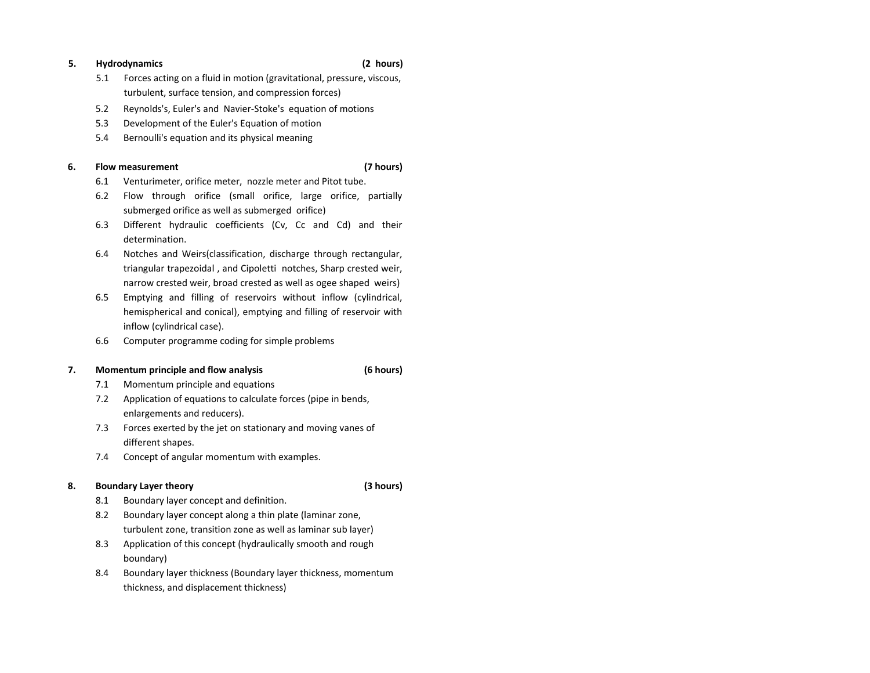#### **5.Hydrodynamics (2 hours)**

- 5.1 Forces acting on <sup>a</sup> fluid in motion (gravitational, pressure, viscous, turbulent, surface tension, and compression forces)
- 5.2Reynolds's, Euler's and Navier‐Stoke's equation of motions
- 5.3Development of the Euler's Equation of motion
- 5.4Bernoulli's equation and its physical meaning

### **6.Flow measurement (7 hours)**

- 6.1Venturimeter, orifice meter, nozzle meter and Pitot tube.
- 6.2 Flow through orifice (small orifice, large orifice, partially submerged orifice as well as submerged orifice)
- 6.3 Different hydraulic coefficients (Cv, Cc and Cd) and their determination.
- 6.4 Notches and Weirs(classification, discharge through rectangular, triangular trapezoidal , and Cipoletti notches, Sharp crested weir, narrow crested weir, broad crested as well as ogee shaped weirs)
- 6.5 Emptying and filling of reservoirs without inflow (cylindrical, hemispherical and conical), emptying and filling of reservoir with inflow (cylindrical case).
- 6.6Computer programme coding for simple problems

### **7.Momentum principle and flow analysis (6 hours)**

- 7.1Momentum principle and equations
- 7.2 Application of equations to calculate forces (pipe in bends, enlargements and reducers).
- 7.3 Forces exerted by the jet on stationary and moving vanes of different shapes.
- 7.4Concept of angular momentum with examples.

### **8.Boundary Layer theory (3 hours)**

- 8.1Boundary layer concept and definition.
- 8.2 Boundary layer concept along <sup>a</sup> thin plate (laminar zone, turbulent zone, transition zone as well as laminar sub layer)
- 8.3 Application of this concept (hydraulically smooth and rough boundary)
- 8.4 Boundary layer thickness (Boundary layer thickness, momentum thickness, and displacement thickness)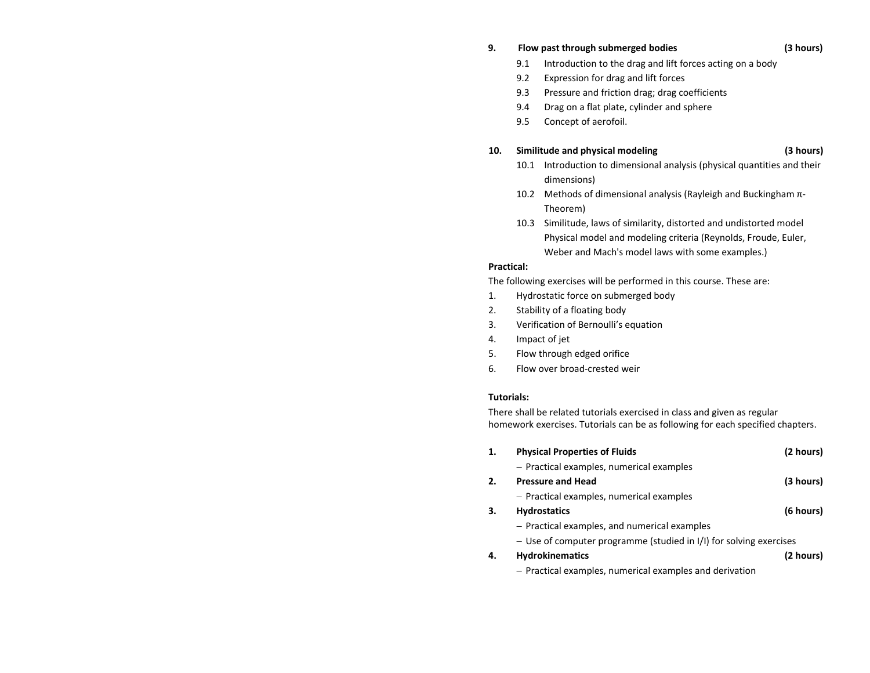#### **9.Flow past through submerged bodies (3 hours)**

- 9.1Introduction to the drag and lift forces acting on <sup>a</sup> body
- 9.2Expression for drag and lift forces
- 9.3Pressure and friction drag; drag coefficients
- 9.4Drag on <sup>a</sup> flat plate, cylinder and sphere
- 9.5Concept of aerofoil.

### **10.Similitude and physical modeling (3 hours)**

- 10.1 Introduction to dimensional analysis (physical quantities and their dimensions)
- 10.2 Methods of dimensional analysis (Rayleigh and Buckingham π-Theorem)
- 10.3 Similitude, laws of similarity, distorted and undistorted model Physical model and modeling criteria (Reynolds, Froude, Euler, Weber and Mach's model laws with some examples.)

## **Practical:**

The following exercises will be performed in this course. These are:

- 1.Hydrostatic force on submerged body
- $2<sub>1</sub>$ Stability of <sup>a</sup> floating body
- 3.Verification of Bernoulli's equation
- 4.Impact of jet
- 5.Flow through edged orifice
- 6.Flow over broad‐crested weir

## **Tutorials:**

There shall be related tutorials exercised in class and given as regular homework exercises. Tutorials can be as following for each specified chapters.

| 1. | <b>Physical Properties of Fluids</b>                               | (2 hours) |
|----|--------------------------------------------------------------------|-----------|
|    | - Practical examples, numerical examples                           |           |
| 2. | <b>Pressure and Head</b>                                           | (3 hours) |
|    | - Practical examples, numerical examples                           |           |
| З. | <b>Hydrostatics</b>                                                | (6 hours) |
|    | - Practical examples, and numerical examples                       |           |
|    | - Use of computer programme (studied in I/I) for solving exercises |           |
| 4. | <b>Hydrokinematics</b>                                             | (2 hours) |
|    | - Practical examples, numerical examples and derivation            |           |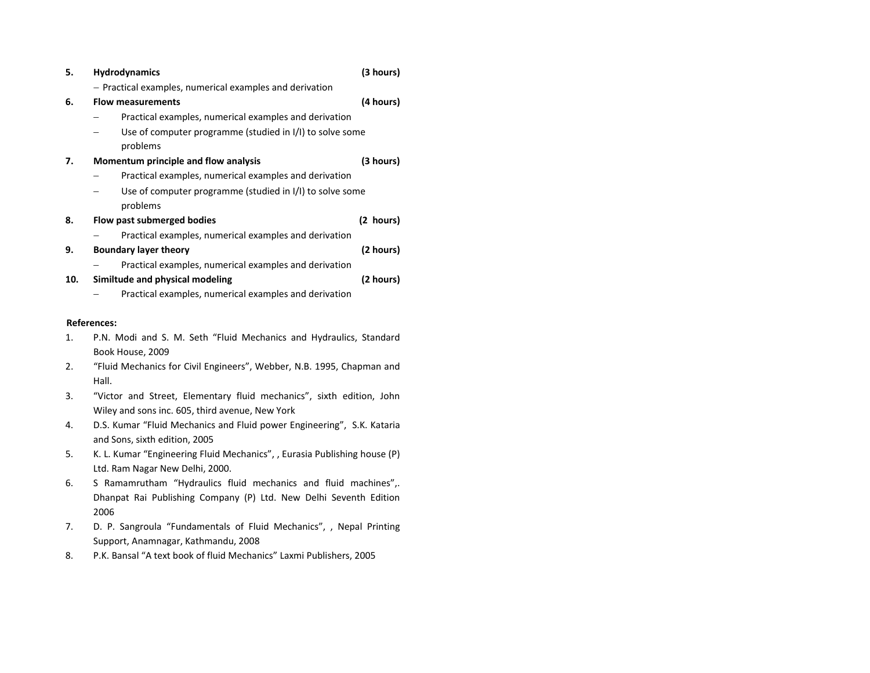| 5.  | <b>Hydrodynamics</b>                                     | (3 hours) |
|-----|----------------------------------------------------------|-----------|
|     | - Practical examples, numerical examples and derivation  |           |
| 6.  | <b>Flow measurements</b>                                 | (4 hours) |
|     | Practical examples, numerical examples and derivation    |           |
|     | Use of computer programme (studied in I/I) to solve some |           |
|     | problems                                                 |           |
| 7.  | Momentum principle and flow analysis                     | (3 hours) |
|     | Practical examples, numerical examples and derivation    |           |
|     | Use of computer programme (studied in I/I) to solve some |           |
|     | problems                                                 |           |
| 8.  | Flow past submerged bodies                               | (2 hours) |
|     | Practical examples, numerical examples and derivation    |           |
| 9.  | <b>Boundary layer theory</b>                             | (2 hours) |
|     | Practical examples, numerical examples and derivation    |           |
| 10. | Similtude and physical modeling                          | (2 hours) |
|     | Practical examples, numerical examples and derivation    |           |

### **References:**

- 1. P.N. Modi and S. M. Seth "Fluid Mechanics and Hydraulics, Standard Book House, 2009
- 2. "Fluid Mechanics for Civil Engineers", Webber, N.B. 1995, Chapman and Hall.
- 3. "Victor and Street, Elementary fluid mechanics", sixth edition, John Wiley and sons inc. 605, third avenue, New York
- 4. D.S. Kumar "Fluid Mechanics and Fluid power Engineering", S.K. Kataria and Sons, sixth edition, 2005
- 5. K. L. Kumar "Engineering Fluid Mechanics", , Eurasia Publishing house (P) Ltd. Ram Nagar New Delhi, 2000.
- 6.. S Ramamrutham "Hydraulics fluid mechanics and fluid machines",. Dhanpat Rai Publishing Company (P) Ltd. New Delhi Seventh Edition 2006
- 7. D. P. Sangroula "Fundamentals of Fluid Mechanics", , Nepal Printing Support, Anamnagar, Kathmandu, 2008
- 8.P.K. Bansal "A text book of fluid Mechanics" Laxmi Publishers, 2005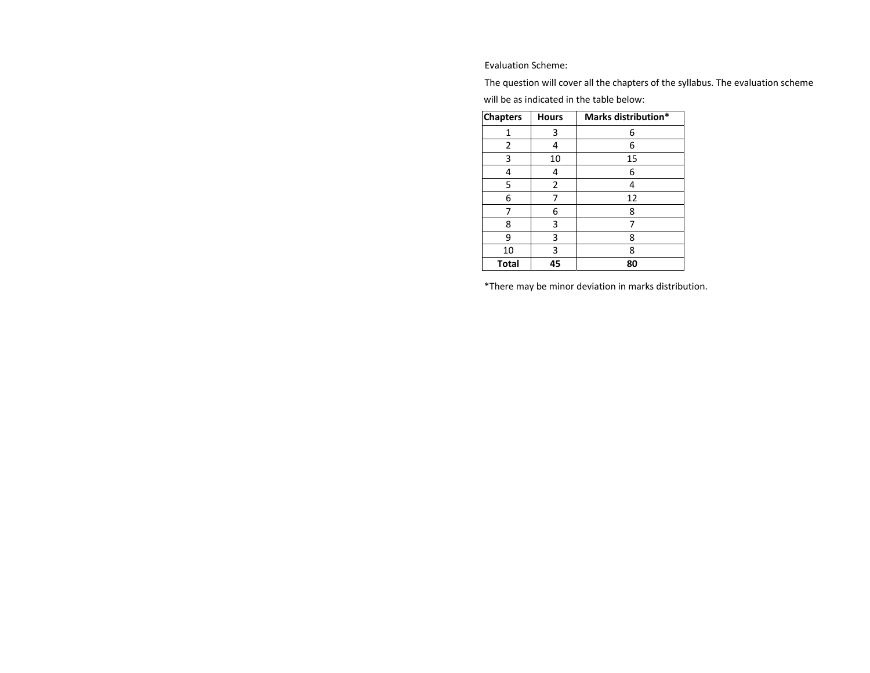Evaluation Scheme:

The question will cover all the chapters of the syllabus. The evaluation scheme will be as indicated in the table below:

| <b>Chapters</b> | <b>Hours</b> | Marks distribution* |
|-----------------|--------------|---------------------|
| 1               | 3            | 6                   |
| 2               | 4            | 6                   |
| 3               | 10           | 15                  |
| 4               | 4            | 6                   |
| 5               | 2            | 4                   |
| 6               | 7            | 12                  |
|                 | 6            | 8                   |
| 8               | 3            | 7                   |
| 9               | 3            | 8                   |
| 10              | 3            | 8                   |
| <b>Total</b>    | 45           | 80                  |

\*There may be minor deviation in marks distribution.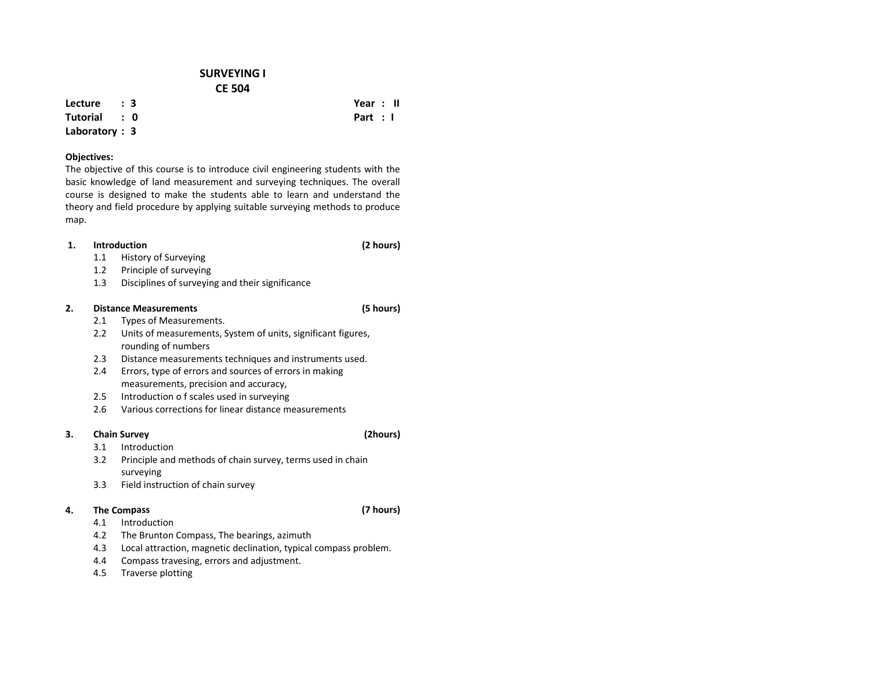## **SURVEYING I CE 504**

**Lecture : 3**

**Tutorial : 0Laboratory : 3**

## **Objectives:**

The objective of this course is to introduce civil engineering students with the basic knowledge of land measurement and surveying techniques. The overall course is designed to make the students able to learn and understand the theory and field procedure by applying suitable surveying methods to produce map.

#### **1.Introduction**

- 1.1History of Surveying
- $1.2$ Principle of surveying
- 1.3Disciplines of surveying and their significance

#### **2.Distance Measurements (5 hours)**

- 2.1Types of Measurements.
- 2.2 Units of measurements, System of units, significant figures, rounding of numbers
- $2.3$ Distance measurements techniques and instruments used.
- 2.4 Errors, type of errors and sources of errors in making measurements, precision and accuracy,
- 2.55 Introduction o f scales used in surveying
- 2.6Various corrections for linear distance measurements

### **3.Chain Survey (2hours)**

- 3.1Introduction
- 3.2 Principle and methods of chain survey, terms used in chain surveying
- 3.3Field instruction of chain survey

### **4.The Compass (7 hours)**

- 4.1Introduction
- 4.2The Brunton Compass, The bearings, azimuth
- 4.3Local attraction, magnetic declination, typical compass problem.
- 4.4Compass travesing, errors and adjustment.
- 4.5Traverse plotting

## **Year : II Part : I**

**(2 hours)**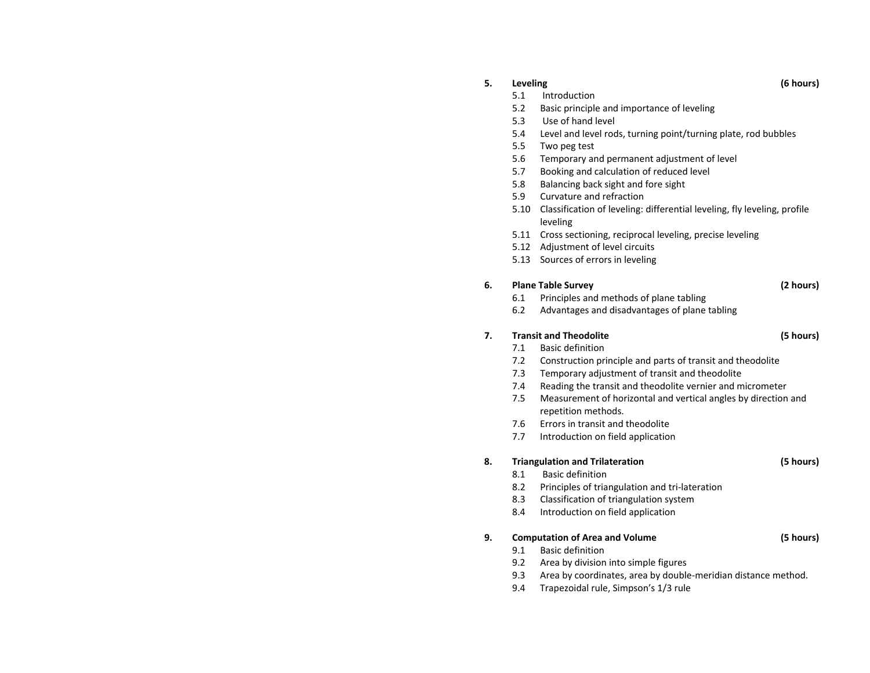### **5.**

5.1Introduction

### 5.2Basic principle and importance of leveling

- 5.3Use of hand level
- 5.4Level and level rods, turning point/turning plate, rod bubbles
- 5.5Two peg test
- 5.6Temporary and permanent adjustment of level
- 5.7Booking and calculation of reduced level
- 5.8Balancing back sight and fore sight
- 5.99 Curvature and refraction
- 5.10 Classification of leveling: differential leveling, fly leveling, profile leveling
- 5.11 Cross sectioning, reciprocal leveling, precise leveling
- 5.12 Adjustment of level circuits
- 5.13 Sources of errors in leveling

### **6.Plane Table Survey (2 hours)**

- 6.1Principles and methods of plane tabling
- 6.2Advantages and disadvantages of plane tabling

### **7.Transit and Theodolite (5 hours)**

- 7.1Basic definition
- 7.2Construction principle and parts of transit and theodolite
- 7.3Temporary adjustment of transit and theodolite
- 7.4Reading the transit and theodolite vernier and micrometer
- 7.5 Measurement of horizontal and vertical angles by direction and repetition methods.
- 7.66 Errors in transit and theodolite
- 7.7Introduction on field application

### **8.Triangulation and Trilateration (5 hours)**

- 8.1Basic definition
- 8.2Principles of triangulation and tri‐lateration
- 8.3Classification of triangulation system
- 8.44 Introduction on field application

### **9.Computation of Area and Volume (5 hours)**

- 9.1Basic definition
- 9.2Area by division into simple figures
- 9.3Area by coordinates, area by double‐meridian distance method.
- 9.4Trapezoidal rule, Simpson's 1/3 rule

## **Leveling (6 hours)**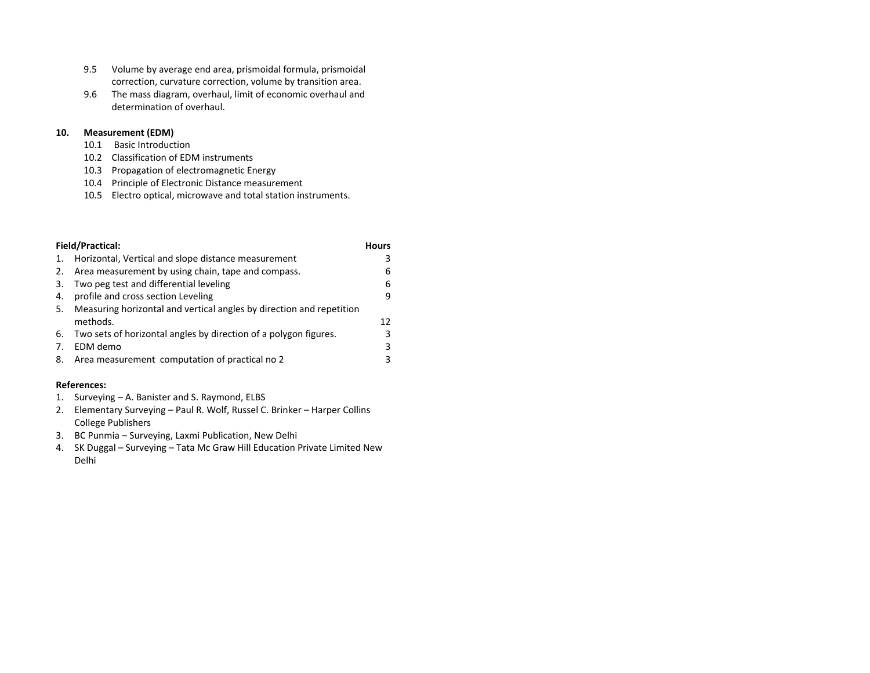- 9.5 Volume by average end area, prismoidal formula, prismoidal correction, curvature correction, volume by transition area.
- 9.6 The mass diagram, overhaul, limit of economic overhaul and determination of overhaul.

#### **10.Measurement (EDM)**

- 10.1Basic Introduction
- 10.2 Classification of EDM instruments
- 10.3 Propagation of electromagnetic Energy
- 10.4 Principle of Electronic Distance measurement
- 10.5 Electro optical, microwave and total station instruments.

|     | <b>Field/Practical:</b>                                              | <b>Hours</b> |
|-----|----------------------------------------------------------------------|--------------|
| 1.  | Horizontal, Vertical and slope distance measurement                  | 3            |
| 2.  | Area measurement by using chain, tape and compass.                   | 6            |
| 3.  | Two peg test and differential leveling                               | 6            |
| 4.  | profile and cross section Leveling                                   | 9            |
| -5. | Measuring horizontal and vertical angles by direction and repetition |              |
|     | methods.                                                             | 12           |
| 6.  | Two sets of horizontal angles by direction of a polygon figures.     | 3            |
| 7.  | EDM demo                                                             | 3            |
| 8.  | Area measurement computation of practical no 2                       | 3            |

### **References:**

- 1.Surveying – A. Banister and S. Raymond, ELBS
- 2. Elementary Surveying – Paul R. Wolf, Russel C. Brinker – Harper Collins College Publishers
- 3. BC Punmia Surveying, Laxmi Publication, New Delhi
- 4.. SK Duggal – Surveying – Tata Mc Graw Hill Education Private Limited New Delhi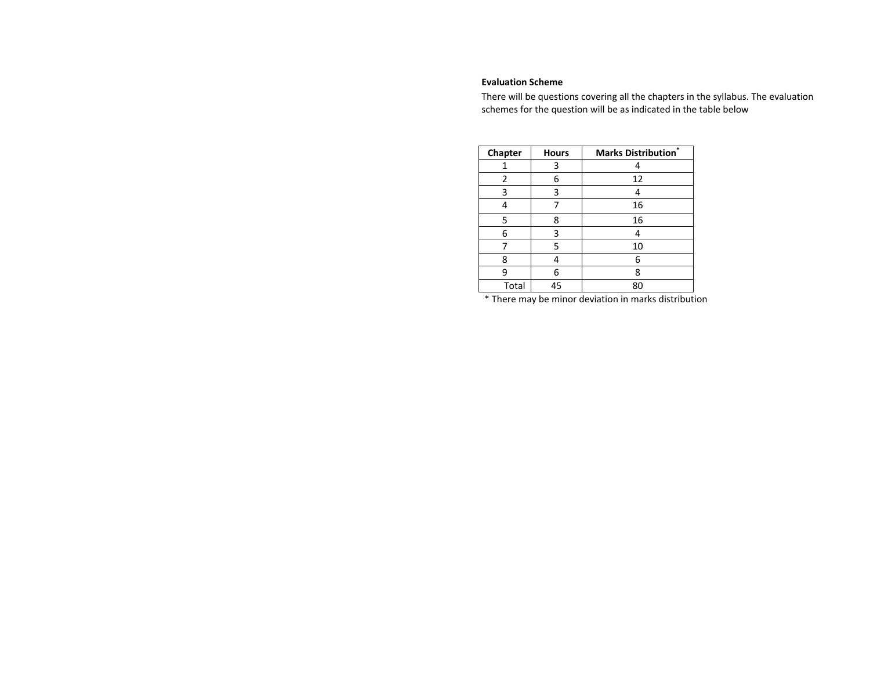### **Evaluation Scheme**

There will be questions covering all the chapters in the syllabus. The evaluation schemes for the question will be as indicated in the table below

| Chapter        | <b>Hours</b> | <b>Marks Distribution</b> * |
|----------------|--------------|-----------------------------|
| 1              | 3            |                             |
| $\overline{2}$ | 6            | 12                          |
| 3              | 3            |                             |
|                |              | 16                          |
| 5              | 8            | 16                          |
| 6              | 3            |                             |
|                | 5            | 10                          |
| 8              |              | 6                           |
| 9              | 6            | 8                           |
| Total          | 45           | 80                          |

\* There may be minor deviation in marks distribution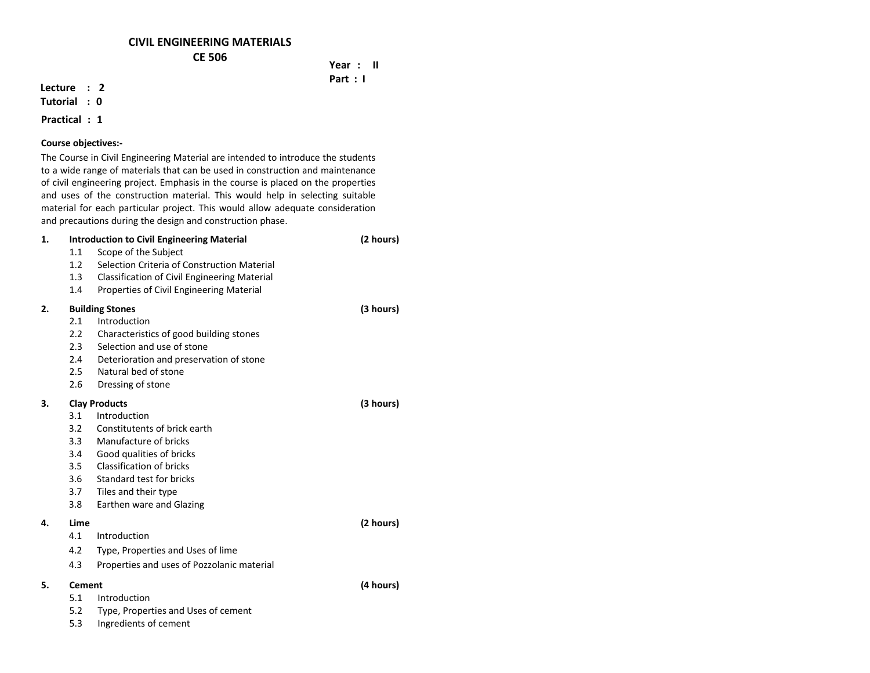## **CIVIL ENGINEERING MATERIALS CE 506**

## **Year : II Part : I**

## **Lecture : 2**

**Tutorial : 0**

## **Practical : 1**

## **Course objectives:‐**

The Course in Civil Engineering Material are intended to introduce the students to <sup>a</sup> wide range of materials that can be used in construction and maintenance of civil engineering project. Emphasis in the course is placed on the properties and uses of the construction material. This would help in selecting suitable material for each particular project. This would allow adequate consideration and precautions during the design and construction phase.

| 1. |               | <b>Introduction to Civil Engineering Material</b>   | (2 hours) |
|----|---------------|-----------------------------------------------------|-----------|
|    | 1.1           | Scope of the Subject                                |           |
|    | 1.2           | Selection Criteria of Construction Material         |           |
|    | 1.3           | <b>Classification of Civil Engineering Material</b> |           |
|    | 1.4           | Properties of Civil Engineering Material            |           |
| 2. |               | <b>Building Stones</b>                              | (3 hours) |
|    | 2.1           | Introduction                                        |           |
|    | 2.2           | Characteristics of good building stones             |           |
|    | 2.3           | Selection and use of stone                          |           |
|    | 2.4           | Deterioration and preservation of stone             |           |
|    | 2.5           | Natural bed of stone                                |           |
|    | 2.6           | Dressing of stone                                   |           |
| 3. |               | <b>Clay Products</b>                                | (3 hours) |
|    | 3.1           | Introduction                                        |           |
|    | 3.2           | Constitutents of brick earth                        |           |
|    | 3.3           | Manufacture of bricks                               |           |
|    | 3.4           | Good qualities of bricks                            |           |
|    | 3.5           | Classification of bricks                            |           |
|    | 3.6           | Standard test for bricks                            |           |
|    | 3.7           | Tiles and their type                                |           |
|    | 3.8           | Earthen ware and Glazing                            |           |
| 4. | Lime          |                                                     | (2 hours) |
|    | 4.1           | Introduction                                        |           |
|    | 4.2           | Type, Properties and Uses of lime                   |           |
|    | 4.3           | Properties and uses of Pozzolanic material          |           |
| 5. | <b>Cement</b> |                                                     | (4 hours) |
|    | 5.1           | Introduction                                        |           |
|    | 5.2           | Type, Properties and Uses of cement                 |           |
|    | 5.3           | Ingredients of cement                               |           |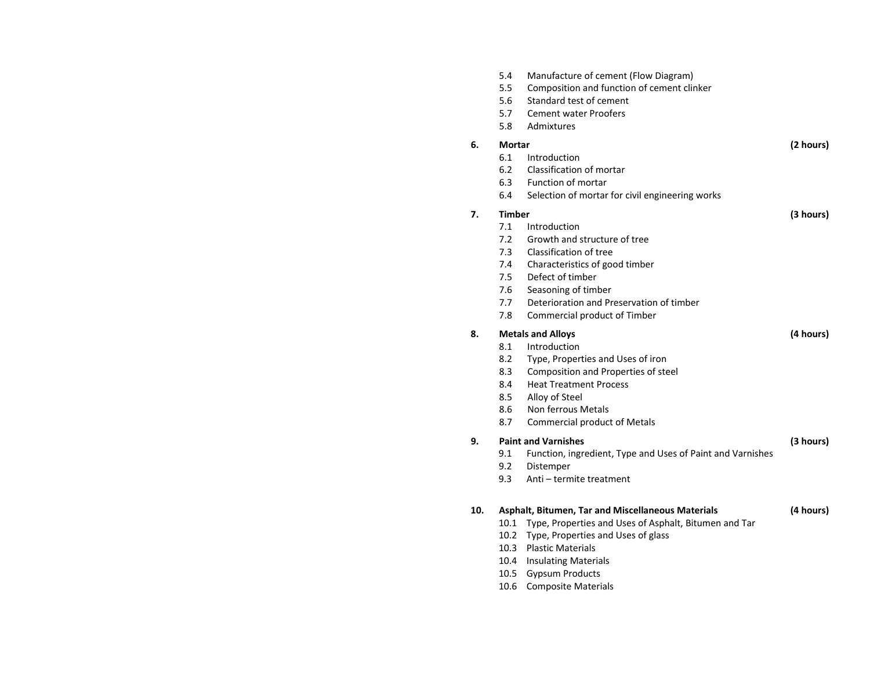|     | 5.4<br>5.5<br>5.6<br>5.7<br>5.8 | Manufacture of cement (Flow Diagram)<br>Composition and function of cement clinker<br>Standard test of cement<br><b>Cement water Proofers</b><br>Admixtures |           |
|-----|---------------------------------|-------------------------------------------------------------------------------------------------------------------------------------------------------------|-----------|
| 6.  | <b>Mortar</b>                   |                                                                                                                                                             | (2 hours) |
|     | 6.1                             | Introduction                                                                                                                                                |           |
|     | 6.2                             | Classification of mortar                                                                                                                                    |           |
|     | 6.3                             | Function of mortar                                                                                                                                          |           |
|     | 6.4                             | Selection of mortar for civil engineering works                                                                                                             |           |
| 7.  | <b>Timber</b>                   |                                                                                                                                                             | (3 hours) |
|     | 7.1                             | Introduction                                                                                                                                                |           |
|     | 7.2                             | Growth and structure of tree                                                                                                                                |           |
|     | 7.3                             | Classification of tree                                                                                                                                      |           |
|     | 7.4                             | Characteristics of good timber                                                                                                                              |           |
|     | 7.5                             | Defect of timber                                                                                                                                            |           |
|     | 7.6                             | Seasoning of timber                                                                                                                                         |           |
|     | 7.7                             | Deterioration and Preservation of timber                                                                                                                    |           |
|     | 7.8                             | Commercial product of Timber                                                                                                                                |           |
| 8.  | <b>Metals and Alloys</b>        |                                                                                                                                                             |           |
|     | 8.1                             | Introduction                                                                                                                                                |           |
|     | 8.2                             | Type, Properties and Uses of iron                                                                                                                           |           |
|     | 8.3                             | Composition and Properties of steel                                                                                                                         |           |
|     | 8.4                             | <b>Heat Treatment Process</b>                                                                                                                               |           |
|     | 8.5                             | Alloy of Steel                                                                                                                                              |           |
|     | 8.6                             | Non ferrous Metals                                                                                                                                          |           |
|     | 8.7                             | <b>Commercial product of Metals</b>                                                                                                                         |           |
| 9.  |                                 | <b>Paint and Varnishes</b>                                                                                                                                  | (3 hours) |
|     | 9.1                             | Function, ingredient, Type and Uses of Paint and Varnishes                                                                                                  |           |
|     | 9.2                             | Distemper                                                                                                                                                   |           |
|     | 9.3                             | Anti - termite treatment                                                                                                                                    |           |
| 10. |                                 | Asphalt, Bitumen, Tar and Miscellaneous Materials                                                                                                           | (4 hours) |
|     |                                 | 10.1 Type, Properties and Uses of Asphalt, Bitumen and Tar                                                                                                  |           |
|     | 10.2                            | Type, Properties and Uses of glass                                                                                                                          |           |
|     | 10.3                            | <b>Plastic Materials</b>                                                                                                                                    |           |
|     | 10.4                            | <b>Insulating Materials</b>                                                                                                                                 |           |
|     | 10.5                            | <b>Gypsum Products</b>                                                                                                                                      |           |
|     | 10.6                            | <b>Composite Materials</b>                                                                                                                                  |           |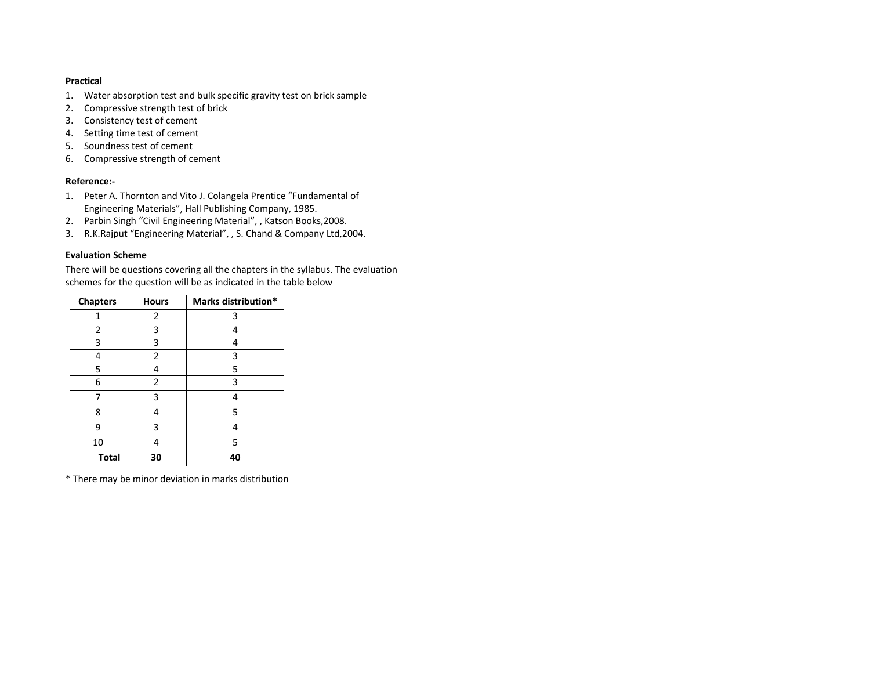### **Practical**

- 1.Water absorption test and bulk specific gravity test on brick sample
- 2. Compressive strength test of brick
- 3. Consistency test of cement
- 4. Setting time test of cement
- 5. Soundness test of cement
- 6. Compressive strength of cement

### **Reference:‐**

- 1. Peter A. Thornton and Vito J. Colangela Prentice "Fundamental of Engineering Materials", Hall Publishing Company, 1985.
- 2.Parbin Singh "Civil Engineering Material", , Katson Books,2008.
- 3.R.K.Rajput "Engineering Material", , S. Chand & Company Ltd,2004.

### **Evaluation Scheme**

There will be questions covering all the chapters in the syllabus. The evaluation schemes for the question will be as indicated in the table below

| <b>Chapters</b> | <b>Hours</b>   | Marks distribution* |  |
|-----------------|----------------|---------------------|--|
| 1               | 2              | 3                   |  |
| 2               | 3              | 4                   |  |
| 3               | 3              | 4                   |  |
| 4               | $\overline{2}$ | 3                   |  |
| 5               | 4              | 5                   |  |
| 6               | 2              | 3                   |  |
| 7               | 3              | 4                   |  |
| 8               | 4              | 5                   |  |
| 9               | 3              | 4                   |  |
| 10              | 4              | 5                   |  |
| <b>Total</b>    | 30             | 40                  |  |

\* There may be minor deviation in marks distribution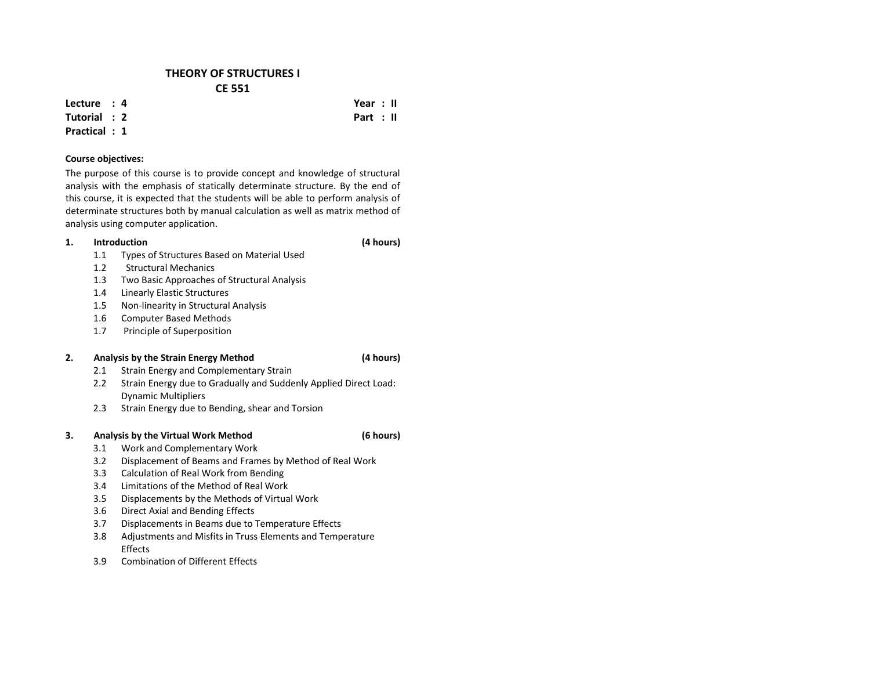## **THEORY OF STRUCTURES I CE 551**

**Lecture : 4**

**Tutorial : 2Practical : 1**

## **Course objectives:**

The purpose of this course is to provide concept and knowledge of structural analysis with the emphasis of statically determinate structure. By the end of this course, it is expected that the students will be able to perform analysis of determinate structures both by manual calculation as well as matrix method of analysis using computer application.

#### **1.Introduction**

- 1.1Types of Structures Based on Material Used
- 1.2Structural Mechanics
- 1.3Two Basic Approaches of Structural Analysis
- 1.4Linearly Elastic Structures
- 1.5Non‐linearity in Structural Analysis
- 1.6Computer Based Methods
- 1.7Principle of Superposition

### **2.Analysis by the Strain Energy Method (4 hours)**

- 2.11 Strain Energy and Complementary Strain
- 2.2 Strain Energy due to Gradually and Suddenly Applied Direct Load: Dynamic Multipliers
- 2.3Strain Energy due to Bending, shear and Torsion

### **3.Analysis by the Virtual Work Method (6 hours)**

- 3.1Work and Complementary Work
- 3.2Displacement of Beams and Frames by Method of Real Work
- 3.3Calculation of Real Work from Bending
- 3.4Limitations of the Method of Real Work
- 3.5Displacements by the Methods of Virtual Work
- 3.66 Direct Axial and Bending Effects
- 3.7Displacements in Beams due to Temperature Effects
- 3.8 Adjustments and Misfits in Truss Elements and Temperature **Effects**
- 3.9Combination of Different Effects

 **Year : II Part : II**

**(4 hours)**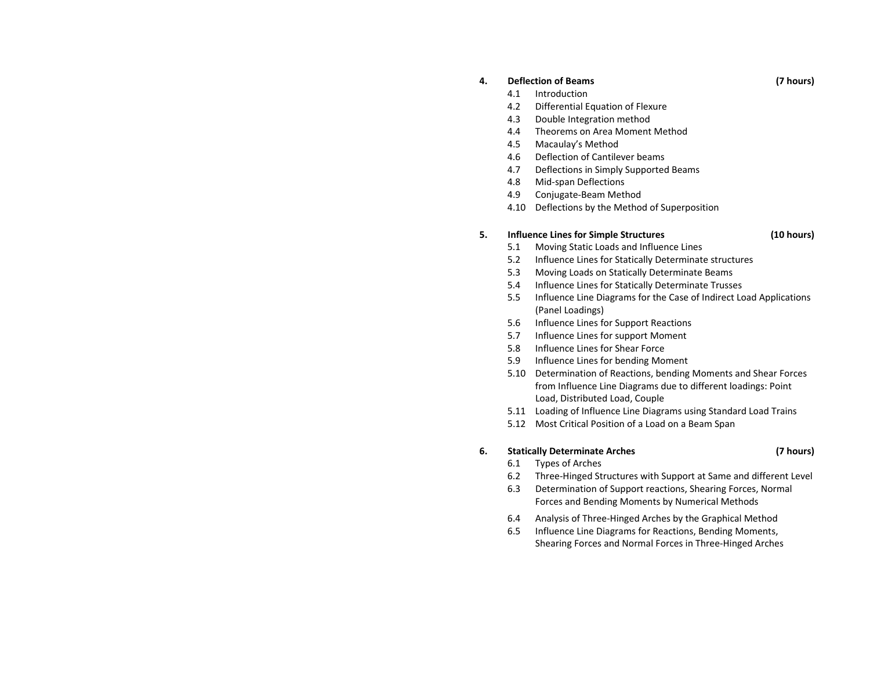#### **4.Deflection**

- 4.1Introduction
- 4.2Differential Equation of Flexure
- 4.3Double Integration method
- 4.4Theorems on Area Moment Method
- 4.5Macaulay's Method
- 4.6Deflection of Cantilever beams
- 4.7Deflections in Simply Supported Beams
- 4.8Mid‐span Deflections
- 4.9Conjugate‐Beam Method
- 4.10 Deflections by the Method of Superposition

#### **5.Influence Lines for Simple Structures (10 hours)**

- 5.1Moving Static Loads and Influence Lines
- 5.2Influence Lines for Statically Determinate structures
- 5.3Moving Loads on Statically Determinate Beams
- 5.4Influence Lines for Statically Determinate Trusses
- 5.5 Influence Line Diagrams for the Case of Indirect Load Applications (Panel Loadings)
- 5.6Influence Lines for Support Reactions
- 5.7Influence Lines for support Moment
- 5.8Influence Lines for Shear Force
- 5.9Influence Lines for bending Moment
- 5.10 Determination of Reactions, bending Moments and Shear Forces from Influence Line Diagrams due to different loadings: Point Load, Distributed Load, Couple
- 5.11 Loading of Influence Line Diagrams using Standard Load Trains
- 5.12 Most Critical Position of <sup>a</sup> Load on <sup>a</sup> Beam Span

#### **6.Statically Determinate Arches (7 hours)**

- 6.1Types of Arches
- 6.2Three‐Hinged Structures with Support at Same and different Level
- 6.3 Determination of Support reactions, Shearing Forces, Normal Forces and Bending Moments by Numerical Methods
- 6.4Analysis of Three‐Hinged Arches by the Graphical Method
- 6.5 Influence Line Diagrams for Reactions, Bending Moments, Shearing Forces and Normal Forces in Three‐Hinged Arches

## **of Beams (7 hours)**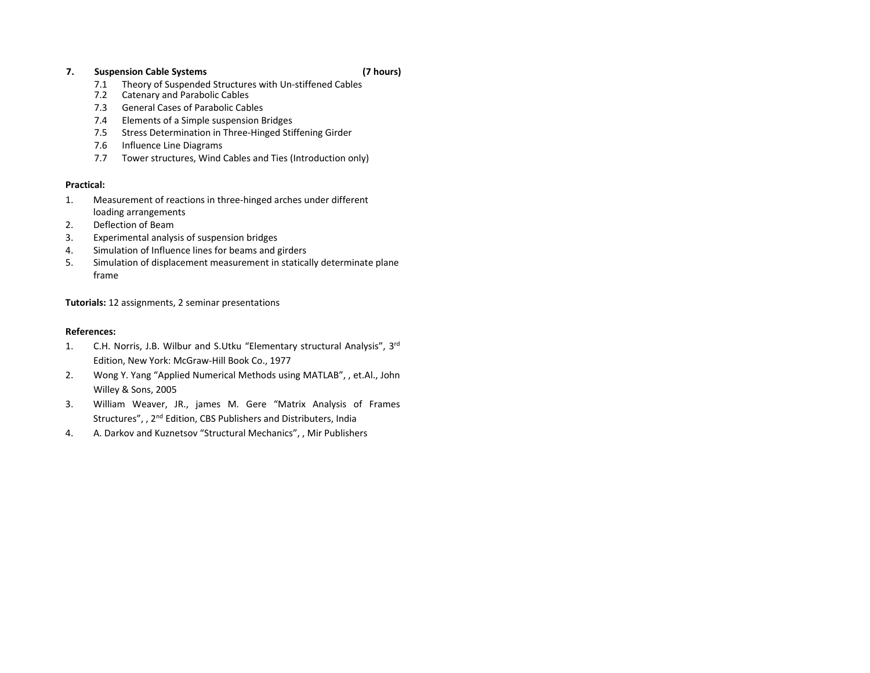### **7.Suspension Cable Systems (7 hours)**

- 7.1Theory of Suspended Structures with Un‐stiffened Cables
- 7.2Catenary and Parabolic Cables
- 7.3General Cases of Parabolic Cables
- 7.4Elements of <sup>a</sup> Simple suspension Bridges
- 7.55 Stress Determination in Three-Hinged Stiffening Girder
- 7.6Influence Line Diagrams
- 7.7Tower structures, Wind Cables and Ties (Introduction only)

## **Practical:**

- 1. Measurement of reactions in three‐hinged arches under different loading arrangements
- $2.$ Deflection of Beam
- 3.Experimental analysis of suspension bridges
- 4.Simulation of Influence lines for beams and girders
- 5. Simulation of displacement measurement in statically determinate plane frame

**Tutorials:** 12 assignments, 2 seminar presentations

## **References:**

- 1. C.H. Norris, J.B. Wilbur and S.Utku "Elementary structural Analysis", 3r<sup>d</sup> Edition, New York: McGraw‐Hill Book Co., 1977
- 2. Wong Y. Yang "Applied Numerical Methods using MATLAB", , et.Al., John Willey & Sons, 2005
- 3. William Weaver, JR., james M. Gere "Matrix Analysis of Frames Structures", , 2<sup>nd</sup> Edition, CBS Publishers and Distributers, India
- 4.A. Darkov and Kuznetsov "Structural Mechanics", , Mir Publishers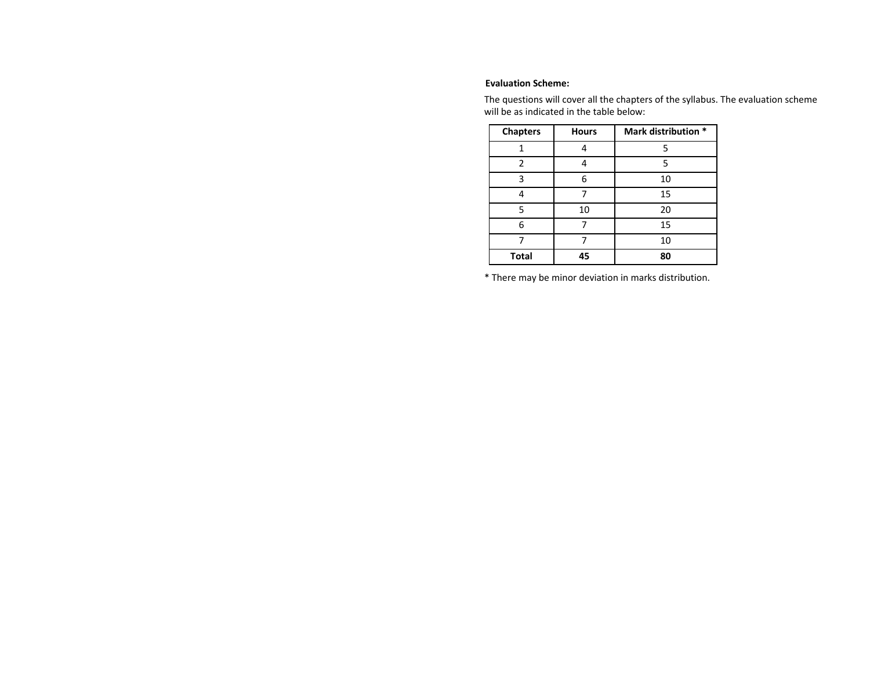### **Evaluation Scheme:**

The questions will cover all the chapters of the syllabus. The evaluation scheme will be as indicated in the table below:

| <b>Chapters</b> | <b>Hours</b> | Mark distribution * |
|-----------------|--------------|---------------------|
|                 | 5            |                     |
| $\overline{2}$  |              | 5                   |
| 3               | 6            | 10                  |
|                 |              | 15                  |
| 5               | 10           | 20                  |
| 6               |              | 15                  |
|                 |              | 10                  |
| <b>Total</b>    | 45           | 80                  |

\* There may be minor deviation in marks distribution.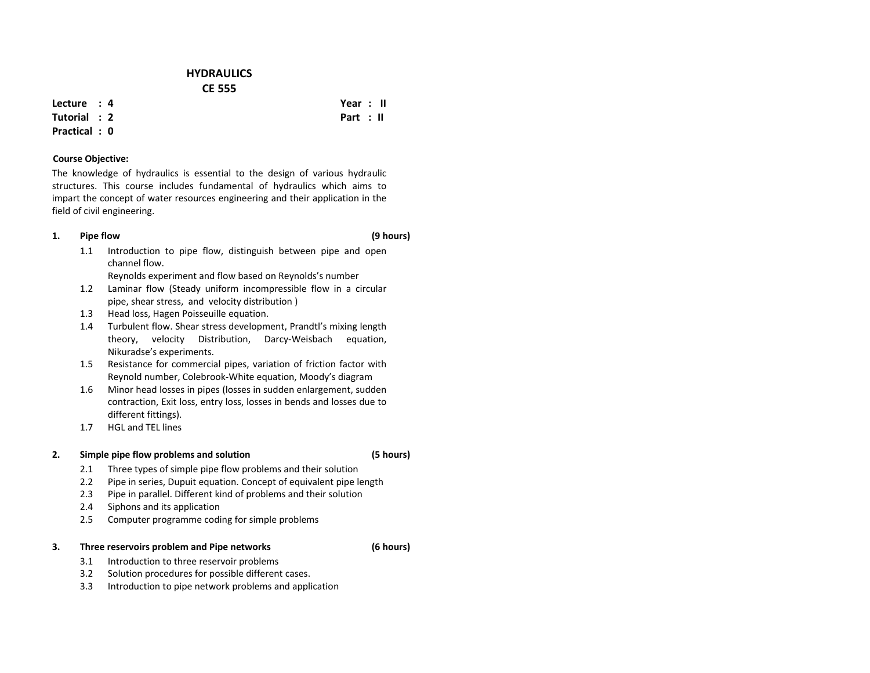## **HYDRAULICSCE 555**

**Lecture : 4**

**Tutorial : 2**

**Practical : 0**

### **Course Objective:**

The knowledge of hydraulics is essential to the design of various hydraulic structures. This course includes fundamental of hydraulics which aims to impart the concept of water resources engineering and their application in the field of civil engineering.

#### **1.Pipe flow (9 hours)**

1.1 Introduction to pipe flow, distinguish between pipe and open channel flow.

Reynolds experiment and flow based on Reynolds's number

- 1.2 Laminar flow (Steady uniform incompressible flow in <sup>a</sup> circular pipe, shear stress, and velocity distribution )
- 1.3Head loss, Hagen Poisseuille equation.
- 1.4 Turbulent flow. Shear stress development, Prandtl's mixing length theory, velocity Distribution, Darcy‐Weisbach equation, Nikuradse's experiments.
- 1.5 Resistance for commercial pipes, variation of friction factor with Reynold number, Colebrook‐White equation, Moody's diagram
- 1.6 Minor head losses in pipes (losses in sudden enlargement, sudden contraction, Exit loss, entry loss, losses in bends and losses due to different fittings).
- 1.7HGL and TEL lines

#### **2.Simple pipe flow problems and solution (5 hours)**

- 2.1Three types of simple pipe flow problems and their solution
- 2.2Pipe in series, Dupuit equation. Concept of equivalent pipe length
- 2.3Pipe in parallel. Different kind of problems and their solution
- 2.4Siphons and its application
- 2.5Computer programme coding for simple problems

#### **3.Three reservoirs problem and Pipe networks (6 hours)**

- 3.1Introduction to three reservoir problems
- 3.22 Solution procedures for possible different cases.
- 3.3Introduction to pipe network problems and application

 **Year : II Part : II**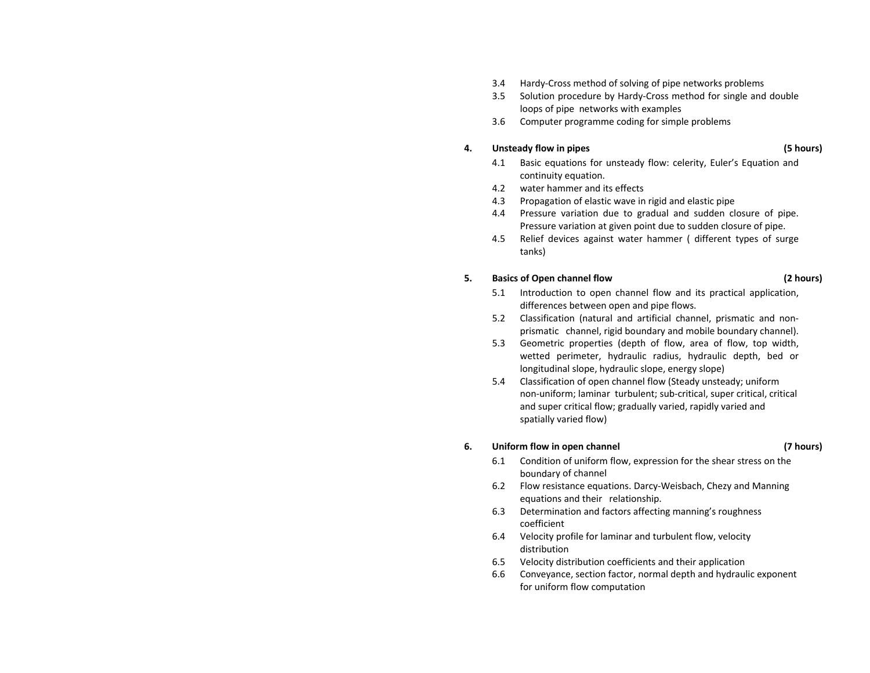- 3.4Hardy‐Cross method of solving of pipe networks problems
- 3.55 Solution procedure by Hardy-Cross method for single and double loops of pipe networks with examples
- 3.6Computer programme coding for simple problems

#### **4.Unsteady flow in pipes (5 hours)**

- 4.1 Basic equations for unsteady flow: celerity, Euler's Equation and continuity equation.
- 4.2water hammer and its effects
- 4.3Propagation of elastic wave in rigid and elastic pipe
- 4.4 Pressure variation due to gradual and sudden closure of pipe. Pressure variation at given point due to sudden closure of pipe.
- 4.5 Relief devices against water hammer ( different types of surge tanks)

### **5.Basics of Open channel flow (2 hours)**

- 5.1 Introduction to open channel flow and its practical application, differences between open and pipe flows.
- 5.2 Classification (natural and artificial channel, prismatic and non‐ prismatic channel, rigid boundary and mobile boundary channel).
- 5.3 Geometric properties (depth of flow, area of flow, top width, wetted perimeter, hydraulic radius, hydraulic depth, bed or longitudinal slope, hydraulic slope, energy slope)
- 5.4 Classification of open channel flow (Steady unsteady; uniform non‐uniform; laminar turbulent; sub‐critical, super critical, critical and super critical flow; gradually varied, rapidly varied and spatially varied flow)

### **6.Uniform flow in open channel (7 hours)**

- 6.1 Condition of uniform flow, expression for the shear stress on the boundary of channel
- 6.2 Flow resistance equations. Darcy‐Weisbach, Chezy and Manning equations and their relationship.
- 6.3 Determination and factors affecting manning's roughness coefficient
- 6.4 Velocity profile for laminar and turbulent flow, velocity distribution
- 6.5Velocity distribution coefficients and their application
- 6.6 Conveyance, section factor, normal depth and hydraulic exponent for uniform flow computation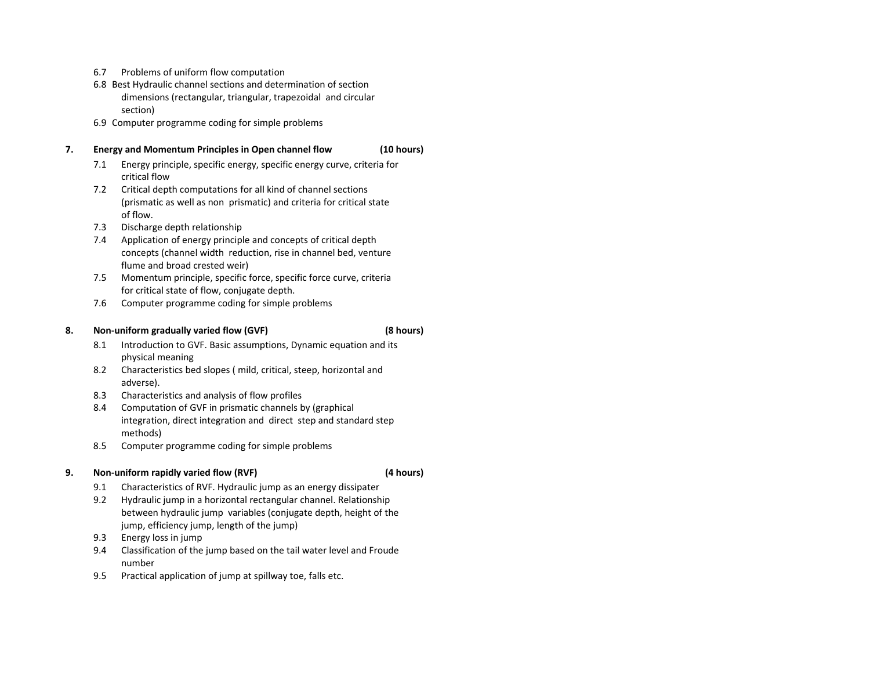- 6.7Problems of uniform flow computation
- 6.8 Best Hydraulic channel sections and determination of section dimensions (rectangular, triangular, trapezoidal and circular section)
- 6.9 Computer programme coding for simple problems

### **7.Energy and Momentum Principles in Open channel flow (10 hours)**

- 7.1 Energy principle, specific energy, specific energy curve, criteria for critical flow
- 7.2 Critical depth computations for all kind of channel sections (prismatic as well as non prismatic) and criteria for critical state of flow.
- 7.3Discharge depth relationship
- 7.4 Application of energy principle and concepts of critical depth concepts (channel width reduction, rise in channel bed, venture flume and broad crested weir)
- 7.5 Momentum principle, specific force, specific force curve, criteria for critical state of flow, conjugate depth.
- 7.6Computer programme coding for simple problems

#### **8.Non‐uniform gradually varied flow (GVF) (8 hours)**

- 8.1 Introduction to GVF. Basic assumptions, Dynamic equation and its physical meaning
- 8.2 Characteristics bed slopes ( mild, critical, steep, horizontal and adverse).
- 8.3Characteristics and analysis of flow profiles
- 8.4 Computation of GVF in prismatic channels by (graphical integration, direct integration and direct step and standard step methods)
- 8.5Computer programme coding for simple problems

#### **9.Non‐uniform rapidly varied flow (RVF) (4 hours)**

- 9.1Characteristics of RVF. Hydraulic jump as an energy dissipater
- 9.2 Hydraulic jump in <sup>a</sup> horizontal rectangular channel. Relationship between hydraulic jump variables (conjugate depth, height of the jump, efficiency jump, length of the jump)
- 9.3Energy loss in jump
- 9.4 Classification of the jump based on the tail water level and Froude number
- 9.5Practical application of jump at spillway toe, falls etc.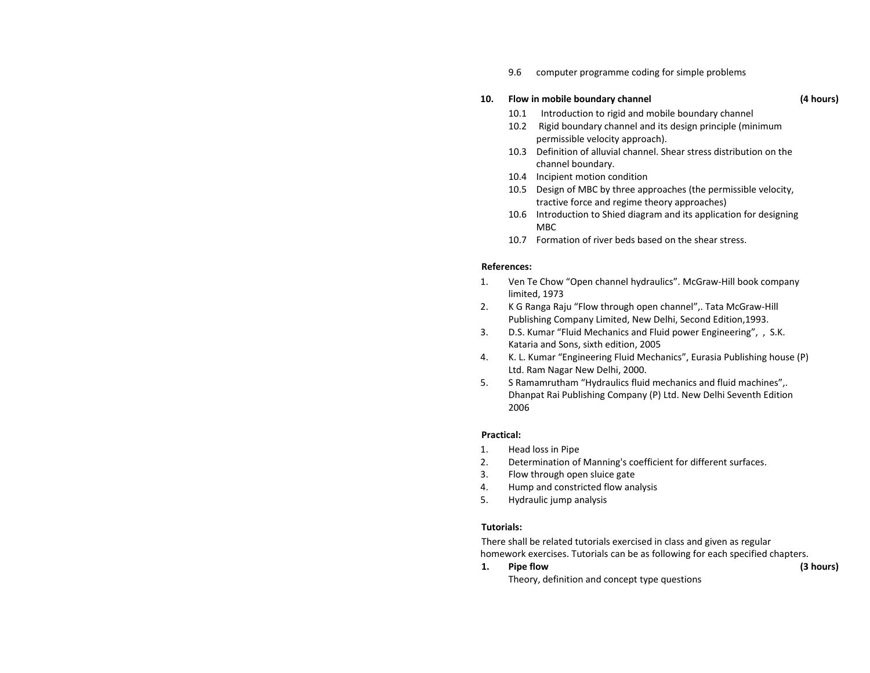9.6computer programme coding for simple problems

### **10.Flow in mobile boundary channel (4 hours)**

- 10.1Introduction to rigid and mobile boundary channel
- 10.2 Rigid boundary channel and its design principle (minimum permissible velocity approach).
- 10.3 Definition of alluvial channel. Shear stress distribution on the channel boundary.
- 10.4 Incipient motion condition
- 10.5 Design of MBC by three approaches (the permissible velocity, tractive force and regime theory approaches)
- 10.6 Introduction to Shied diagram and its application for designing M<sub>RC</sub>
- 10.7 Formation of river beds based on the shear stress.

### **References:**

- 1. Ven Te Chow "Open channel hydraulics". McGraw‐Hill book company limited, 1973
- 2. K G Ranga Raju "Flow through open channel",. Tata McGraw‐Hill Publishing Company Limited, New Delhi, Second Edition,1993.
- 3. D.S. Kumar "Fluid Mechanics and Fluid power Engineering", , S.K. Kataria and Sons, sixth edition, 2005
- 4. K. L. Kumar "Engineering Fluid Mechanics", Eurasia Publishing house (P) Ltd. Ram Nagar New Delhi, 2000.
- 5. S Ramamrutham "Hydraulics fluid mechanics and fluid machines",. Dhanpat Rai Publishing Company (P) Ltd. New Delhi Seventh Edition 2006

### **Practical:**

- 1.. Head loss in Pipe
- 2.Determination of Manning's coefficient for different surfaces.
- 3.Flow through open sluice gate
- 4.Hump and constricted flow analysis
- 5.Hydraulic jump analysis

## **Tutorials:**

There shall be related tutorials exercised in class and given as regular homework exercises. Tutorials can be as following for each specified chapters.

### **1.Pipe flow (3 hours)**

Theory, definition and concept type questions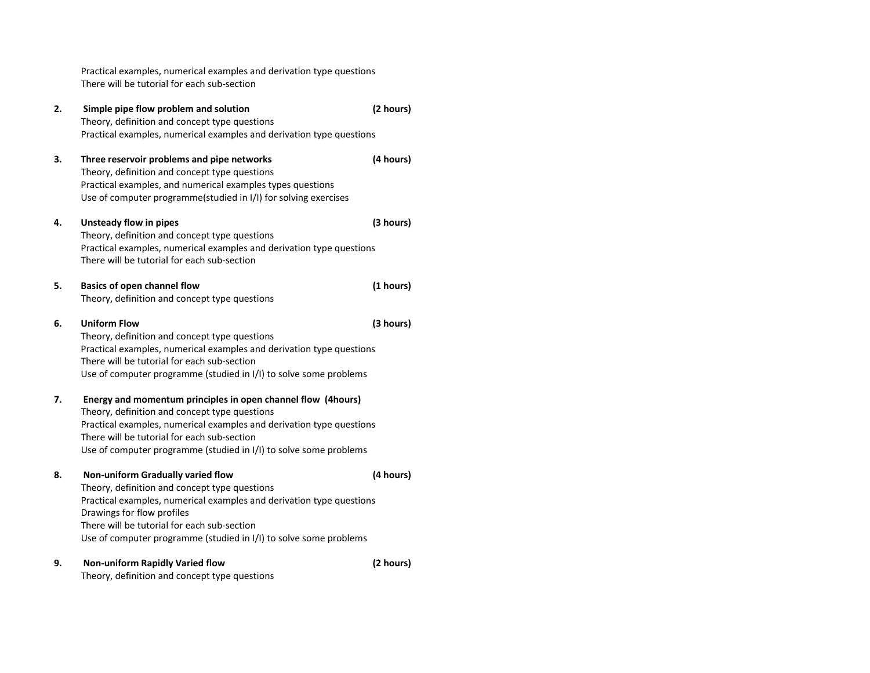Practical examples, numerical examples and derivation type questions There will be tutorial for each sub‐section **2. Simple pipe flow problem and solution (2 hours)** Theory, definition and concept type questions Practical examples, numerical examples and derivation type questions **3. Three reservoir problems and pipe networks (4 hours)** Theory, definition and concept type questions Practical examples, and numerical examples types questions Use of computer programme(studied in I/I) for solving exercises **4. Unsteady flow in pipes (3 hours)** Theory, definition and concept type questions Practical examples, numerical examples and derivation type questions There will be tutorial for each sub‐section **5. Basics of open channel flow (1 hours)** Theory, definition and concept type questions **6. Uniform Flow (3 hours)** Theory, definition and concept type questions Practical examples, numerical examples and derivation type questions There will be tutorial for each sub‐section Use of computer programme (studied in I/I) to solve some problems **7. Energy and momentum principles in open channel flow (4hours)** Theory, definition and concept type questions Practical examples, numerical examples and derivation type questions There will be tutorial for each sub‐section Use of computer programme (studied in I/I) to solve some problems **8. Non‐uniform Gradually varied flow (4 hours)** Theory, definition and concept type questions Practical examples, numerical examples and derivation type questions Drawings for flow profiles There will be tutorial for each sub‐section Use of computer programme (studied in I/I) to solve some problems **9. Non‐uniform Rapidly Varied flow (2 hours)** Theory, definition and concept type questions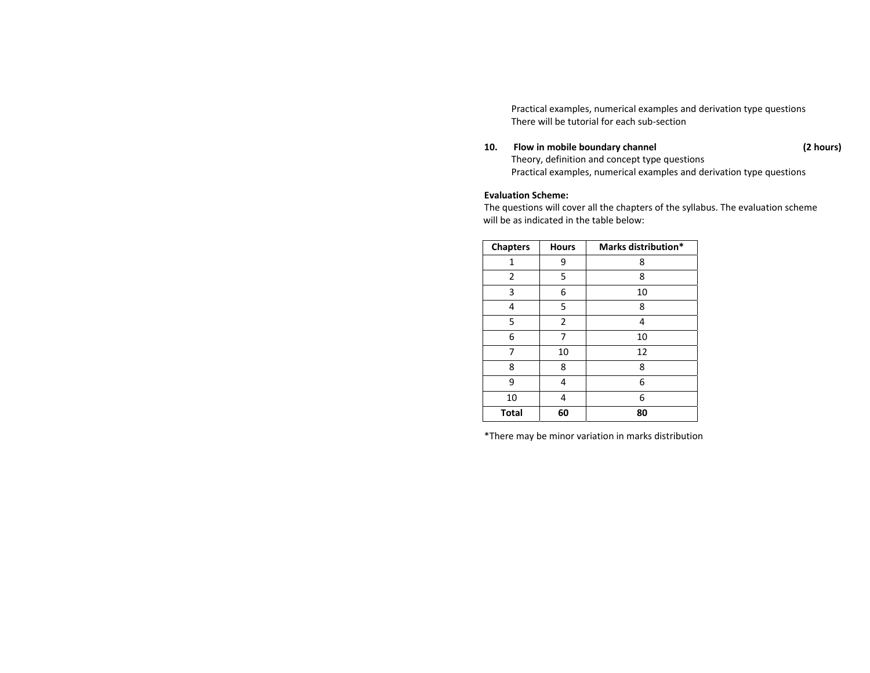Practical examples, numerical examples and derivation type questions There will be tutorial for each sub‐section

#### **10.Flow in mobile boundary channel (2 hours)**

Theory, definition and concept type questions Practical examples, numerical examples and derivation type questions

### **Evaluation Scheme:**

The questions will cover all the chapters of the syllabus. The evaluation scheme will be as indicated in the table below:

| <b>Chapters</b> | <b>Hours</b> | Marks distribution* |
|-----------------|--------------|---------------------|
| 1               | 9            | 8                   |
| 2               | 5            | 8                   |
| 3               | 6            | 10                  |
| 4               | 5            | 8                   |
| 5               | 2            | 4                   |
| 6               | 7            | 10                  |
| 7               | 10           | 12                  |
| 8               | 8            | 8                   |
| 9               | 4            | 6                   |
| 10              | 4            | 6                   |
| <b>Total</b>    | 60           | 80                  |

\*There may be minor variation in marks distribution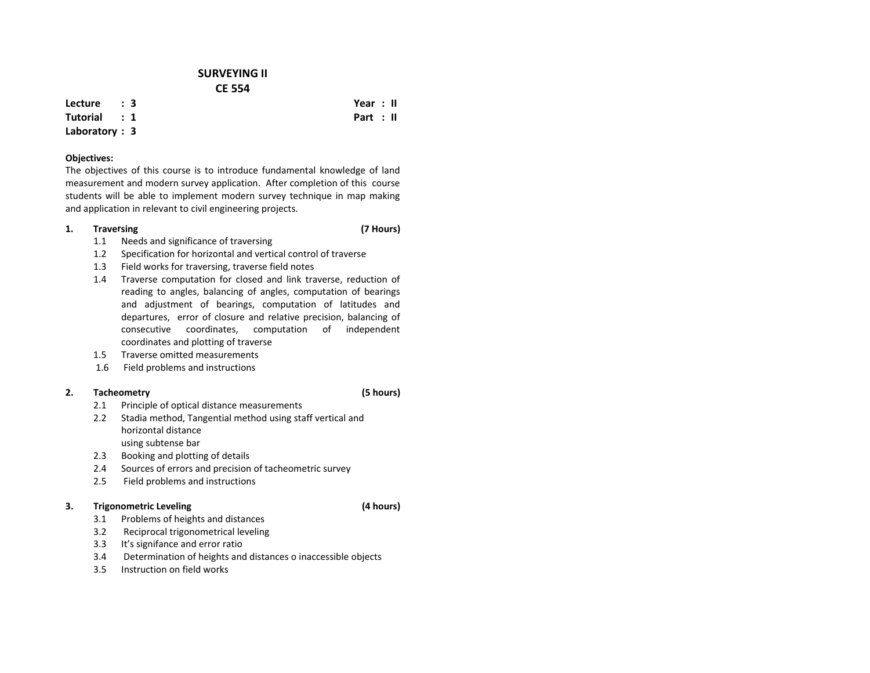## **SURVEYING II CE 554**

**Lecture : 3**

### **Tutorial :1**

## **Laboratory : 3**

### **Objectives:**

The objectives of this course is to introduce fundamental knowledge of land measurement and modern survey application. After completion of this course students will be able to implement modern survey technique in map making and application in relevant to civil engineering projects.

#### **1.Traversing (7 Hours)**

- 1.1Needs and significance of traversing
- $1.2$ Specification for horizontal and vertical control of traverse
- 1.3Field works for traversing, traverse field notes
- 1.4 Traverse computation for closed and link traverse, reduction of reading to angles, balancing of angles, computation of bearings and adjustment of bearings, computation of latitudes and departures, error of closure and relative precision, balancing of consecutive coordinates, computation of independent coordinates and plotting of traverse
- 1.55 Traverse omitted measurements
- 1.6Field problems and instructions

#### **2.Tacheometry (5 hours)**

- 2.1Principle of optical distance measurements
- $2.2<sub>2</sub>$  Stadia method, Tangential method using staff vertical and horizontal distanceusing subtense bar
- 2.3Booking and plotting of details
- 2.4Sources of errors and precision of tacheometric survey
- 2.55 Field problems and instructions

### **3.Trigonometric Leveling (4 hours)**

- 3.1Problems of heights and distances
- 3.2Reciprocal trigonometrical leveling
- 3.3It's signifance and error ratio
- 3.4Determination of heights and distances <sup>o</sup> inaccessible objects
- 3.55 Instruction on field works

 **Year : II Part : II**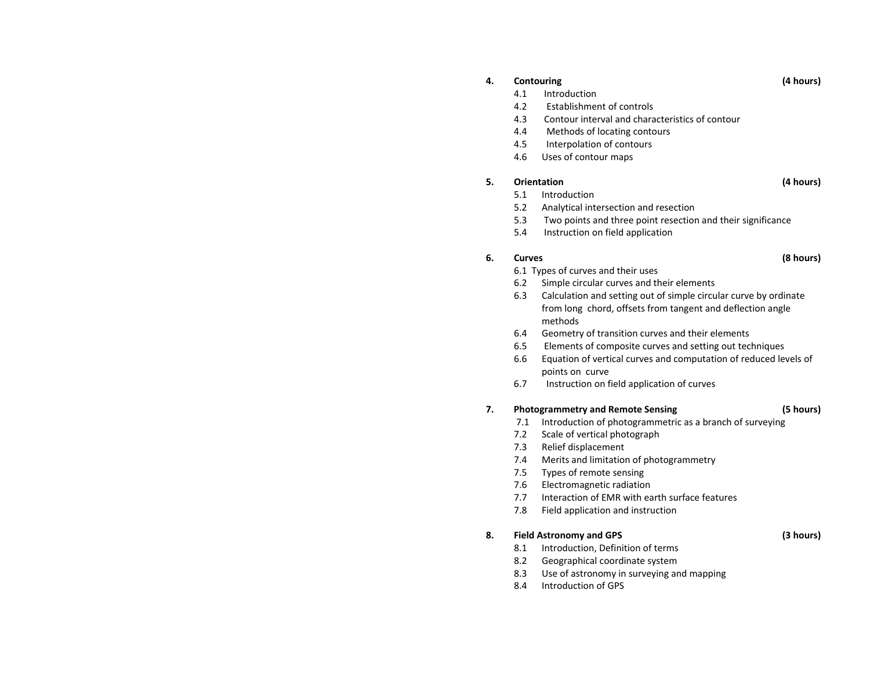#### **4.Contouring (4 hours)**

- 4.1Introduction
- $4.2$ Establishment of controls
- 4.3Contour interval and characteristics of contour
- 4.4Methods of locating contours
- 4.5Interpolation of contours
- 4.6Uses of contour maps

### **5.Orientation**

- 5.1Introduction
- 5.2Analytical intersection and resection
- 5.3Two points and three point resection and their significance
- 5.4 Instruction on field application

#### **6.Curves**

- 6.1 Types of curves and their uses
- 6.2Simple circular curves and their elements
- 6.3 Calculation and setting out of simple circular curve by ordinate from long chord, offsets from tangent and deflection angle methods
- 6.4Geometry of transition curves and their elements
- 6.5Elements of composite curves and setting out techniques
- 6.6 Equation of vertical curves and computation of reduced levels of points on curve
- 6.7Instruction on field application of curves

#### **7.Photogrammetry and Remote Sensing (5 hours)**

- 7.1Introduction of photogrammetric as <sup>a</sup> branch of surveying
- 7.2Scale of vertical photograph
- 7.3Relief displacement
- 7.4Merits and limitation of photogrammetry
- 7.5Types of remote sensing
- 7.6Electromagnetic radiation
- 7.7Interaction of EMR with earth surface features
- 7.8Field application and instruction

#### **8.Field Astronomy and GPS (3 hours)**

- 8.1Introduction, Definition of terms
- 8.2Geographical coordinate system
- 8.3Use of astronomy in surveying and mapping
- 8.44 Introduction of GPS

## **(8 hours)**

**(4 hours)**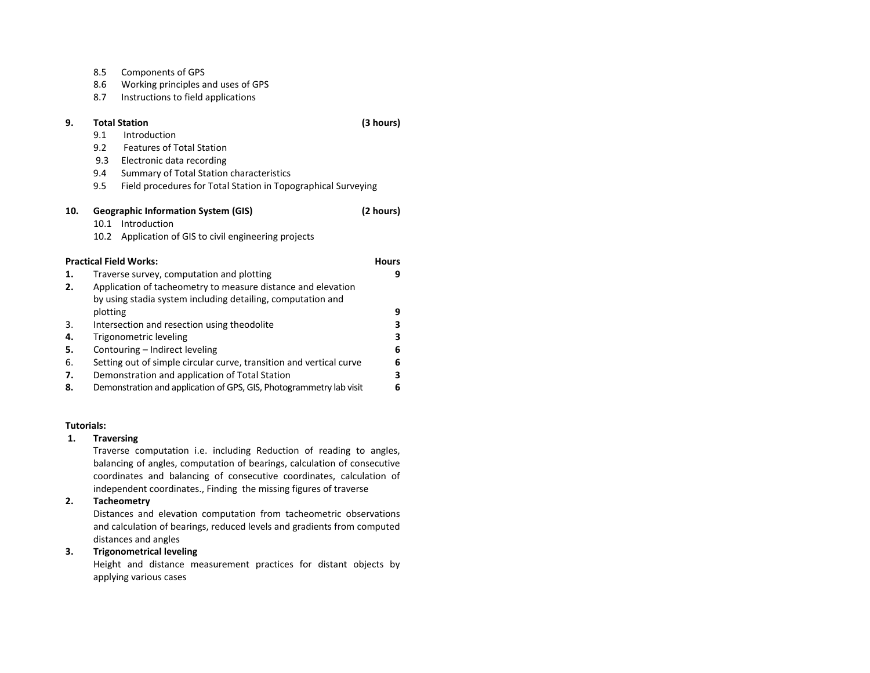|     | 8.5      | Components of GPS                                                   |              |
|-----|----------|---------------------------------------------------------------------|--------------|
|     | 8.6      | Working principles and uses of GPS                                  |              |
|     | 8.7      | Instructions to field applications                                  |              |
| 9.  |          | <b>Total Station</b>                                                | (3 hours)    |
|     | 9.1      | Introduction                                                        |              |
|     | 9.2      | <b>Features of Total Station</b>                                    |              |
|     | 9.3      | Electronic data recording                                           |              |
|     | 9.4      | Summary of Total Station characteristics                            |              |
|     | 9.5      | Field procedures for Total Station in Topographical Surveying       |              |
| 10. |          | <b>Geographic Information System (GIS)</b>                          | (2 hours)    |
|     | 10.1     | Introduction                                                        |              |
|     | 10.2     | Application of GIS to civil engineering projects                    |              |
|     |          | <b>Practical Field Works:</b>                                       | <b>Hours</b> |
| 1.  |          | Traverse survey, computation and plotting                           | 9            |
| 2.  |          | Application of tacheometry to measure distance and elevation        |              |
|     |          | by using stadia system including detailing, computation and         |              |
|     | plotting |                                                                     | 9            |
| 3.  |          | Intersection and resection using theodolite                         | 3            |
| 4.  |          | Trigonometric leveling                                              | 3            |
| 5.  |          | Contouring - Indirect leveling                                      | 6            |
| 6.  |          | Setting out of simple circular curve, transition and vertical curve | 6            |
| 7.  |          | Demonstration and application of Total Station                      | 3            |
| 8.  |          | Demonstration and application of GPS, GIS, Photogrammetry lab visit | 6            |

### **Tutorials:**

### **1.Traversing**

Traverse computation i.e. including Reduction of reading to angles, balancing of angles, computation of bearings, calculation of consecutive coordinates and balancing of consecutive coordinates, calculation of independent coordinates., Finding the missing figures of traverse

### **2.Tacheometry**

Distances and elevation computation from tacheometric observations and calculation of bearings, reduced levels and gradients from computed distances and angles

#### **3.Trigonometrical leveling**

Height and distance measurement practices for distant objects by applying various cases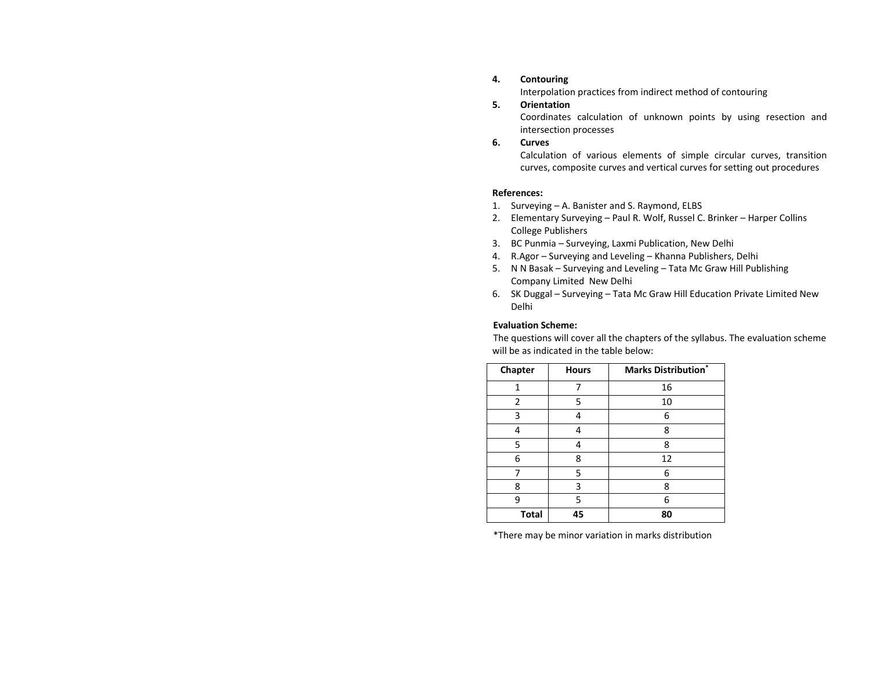#### **4.Contouring**

Interpolation practices from indirect method of contouring

#### **5.Orientation**

Coordinates calculation of unknown points by using resection and intersection processes

#### **6.Curves**

Calculation of various elements of simple circular curves, transition curves, composite curves and vertical curves for setting out procedures

### **References:**

- 1.Surveying – A. Banister and S. Raymond, ELBS
- 2. Elementary Surveying – Paul R. Wolf, Russel C. Brinker – Harper Collins College Publishers
- 3. BC Punmia Surveying, Laxmi Publication, New Delhi
- 4. R.Agor Surveying and Leveling Khanna Publishers, Delhi
- 5. N N Basak – Surveying and Leveling – Tata Mc Graw Hill Publishing Company Limited New Delhi
- 6. SK Duggal Surveying Tata Mc Graw Hill Education Private Limited New Delhi

### **Evaluation Scheme:**

The questions will cover all the chapters of the syllabus. The evaluation scheme will be as indicated in the table below:

| Chapter<br><b>Hours</b> |    | <b>Marks Distribution</b> * |
|-------------------------|----|-----------------------------|
| 1                       |    | 16                          |
| 2                       | 5  | 10                          |
| 3                       |    | 6                           |
| 4                       |    | 8                           |
| 5<br>8                  |    |                             |
| 6                       | 8  | 12                          |
|                         | 5  | 6                           |
| 8                       | 3  | 8                           |
| ٩                       | 5  | 6                           |
| <b>Total</b>            | 45 | 80                          |

\*There may be minor variation in marks distribution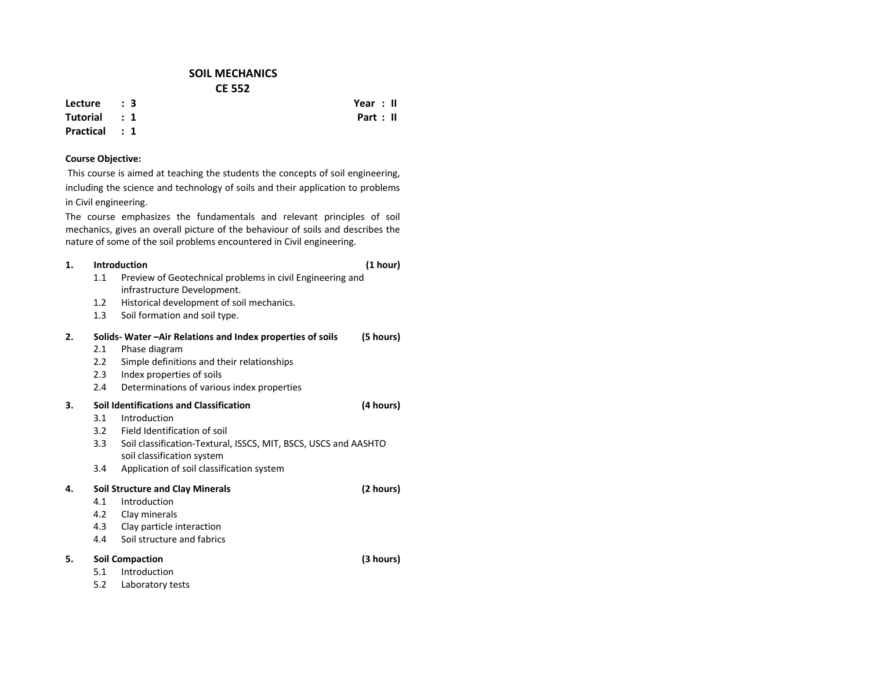## **SOIL MECHANICSCE 552**

**Lecture : 3**

**Tutorial : 1Practical : 1**

# **Course Objective:**

This course is aimed at teaching the students the concepts of soil engineering, including the science and technology of soils and their application to problems in Civil engineering.

The course emphasizes the fundamentals and relevant principles of soil mechanics, gives an overall picture of the behaviour of soils and describes the nature of some of the soil problems encountered in Civil engineering.

#### **1.Introduction**

- 1.1 Preview of Geotechnical problems in civil Engineering and infrastructure Development.
- 1.2Historical development of soil mechanics.
- 1.33 Soil formation and soil type.

### **2. Solids‐ Water –Air Relations and Index properties of soils (5 hours)** 2.1 Phase diagram  $2.2$  Simple definitions and their relationships 2.3 Index properties of soils 2.4 Determinations of various index properties **3. Soil Identifications and Classification (4 hours)** 3.1 Introduction3.2 Field Identification of soil 3.3 Soil classification‐Textural, ISSCS, MIT, BSCS, USCS and AASHTO soil classification system 3.4 Application of soil classification system **4. Soil Structure and Clay Minerals (2 hours)** 4.1 Introduction4.2 Clay minerals 4.3 Clay particle interaction 4.44 Soil structure and fabrics **5. Soil Compaction (3 hours)** 5.1**Introduction** 5.2Laboratory tests

 **Year : II Part : II**

**(1 hour)**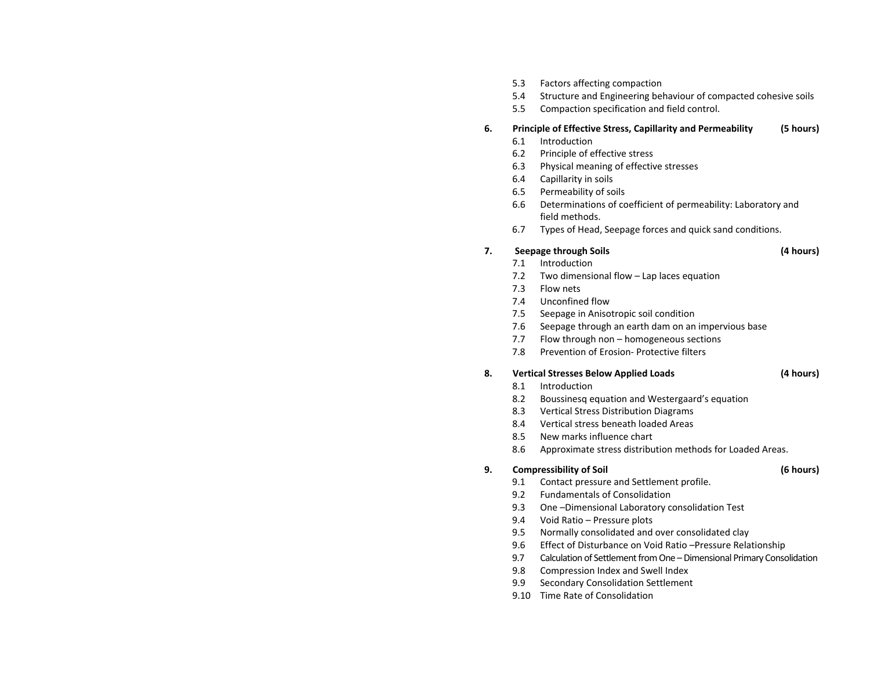- 5.3Factors affecting compaction
- 5.4Structure and Engineering behaviour of compacted cohesive soils
- 5.5Compaction specification and field control.

### **6.Principle of Effective Stress, Capillarity and Permeability (5 hours)**

- 6.1Introduction
- 6.2Principle of effective stress
- 6.3Physical meaning of effective stresses
- 6.4Capillarity in soils
- 6.5Permeability of soils
- 6.6 Determinations of coefficient of permeability: Laboratory and field methods.
- 6.7Types of Head, Seepage forces and quick sand conditions.

### **7.Seepage through Soils (4 hours)**

- 7.1Introduction
- 7.2Two dimensional flow – Lap laces equation
- 7.3Flow nets
- 7.4Unconfined flow
- 7.5Seepage in Anisotropic soil condition
- 7.6Seepage through an earth dam on an impervious base
- 7.7Flow through non – homogeneous sections
- 7.8Prevention of Erosion‐ Protective filters

### **8.Vertical Stresses Below Applied Loads (4 hours)**

- 8.1Introduction
- 8.2Boussinesq equation and Westergaard's equation
- 8.3Vertical Stress Distribution Diagrams
- 8.4Vertical stress beneath loaded Areas
- 8.5New marks influence chart
- 8.6Approximate stress distribution methods for Loaded Areas.

### **9.Compressibility of Soil (6 hours)**

- 9.1Contact pressure and Settlement profile.
- $9.2$ Fundamentals of Consolidation
- 9.3One –Dimensional Laboratory consolidation Test
- 9.4Void Ratio – Pressure plots
- 9.5Normally consolidated and over consolidated clay
- 9.6Effect of Disturbance on Void Ratio –Pressure Relationship
- 9.77 Calculation of Settlement from One – Dimensional Primary Consolidation
- 9.8Compression Index and Swell Index
- 9.9Secondary Consolidation Settlement
- 9.10 Time Rate of Consolidation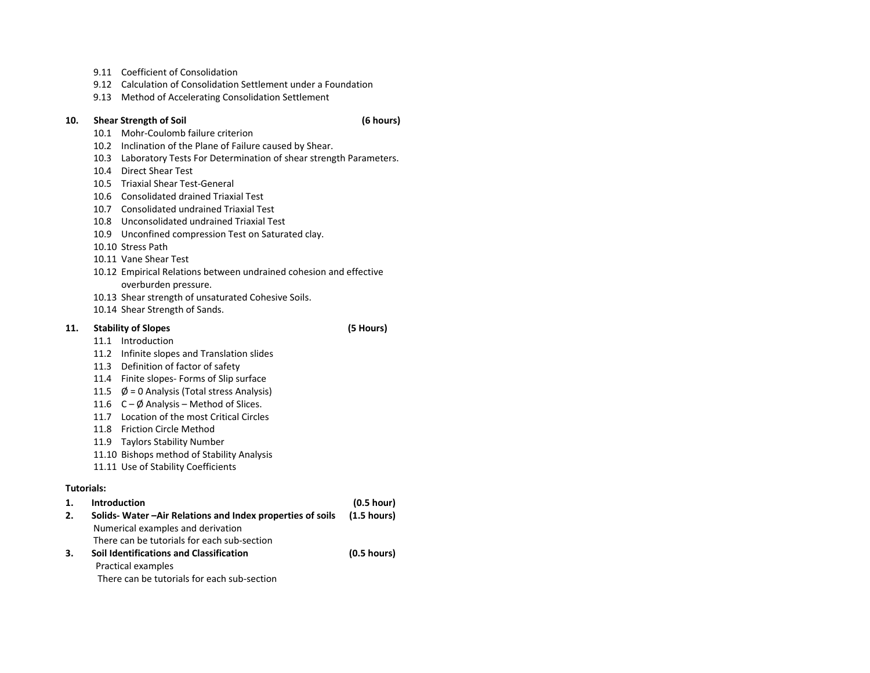- 9.11 Coefficient of Consolidation
- 9.12 Calculation of Consolidation Settlement under <sup>a</sup> Foundation
- 9.13 Method of Accelerating Consolidation Settlement

#### **10.Shear Strength of Soil (6 hours)**

- 10.1 Mohr‐Coulomb failure criterion
- 10.2 Inclination of the Plane of Failure caused by Shear.
- 10.3 Laboratory Tests For Determination of shear strength Parameters.
- 10.4 Direct Shear Test
- 10.5 Triaxial Shear Test‐General
- 10.6 Consolidated drained Triaxial Test
- 10.7 Consolidated undrained Triaxial Test
- 10.8 Unconsolidated undrained Triaxial Test
- 10.9 Unconfined compression Test on Saturated clay.
- 10.10 Stress Path
- 10.11 Vane Shear Test
- 10.12 Empirical Relations between undrained cohesion and effective overburden pressure.
- 10.13 Shear strength of unsaturated Cohesive Soils.
- 10.14 Shear Strength of Sands.

#### **11.Stability of Slopes (5 Hours)**

- 11.1 Introduction
- 11.2 Infinite slopes and Translation slides
- 11.3 Definition of factor of safety
- 11.4 Finite slopes‐ Forms of Slip surface
- 11.5 Ø <sup>=</sup> 0 Analysis (Total stress Analysis)
- 11.6 C Ø Analysis Method of Slices.
- 11.7 Location of the most Critical Circles
- 11.8 Friction Circle Method
- 11.9 Taylors Stability Number
- 11.10 Bishops method of Stability Analysis
- 11.11 Use of Stability Coefficients

## **Tutorials:**

| 1. | <b>Introduction</b>                                      | (0.5 hour)            |
|----|----------------------------------------------------------|-----------------------|
| 2. | Solids-Water-Air Relations and Index properties of soils | $(1.5 \text{ hours})$ |
|    | Numerical examples and derivation                        |                       |
|    | There can be tutorials for each sub-section              |                       |
| 3. | Soil Identifications and Classification                  | $(0.5 \text{ hours})$ |
|    | Practical examples                                       |                       |
|    | There can be tutorials for each sub-section              |                       |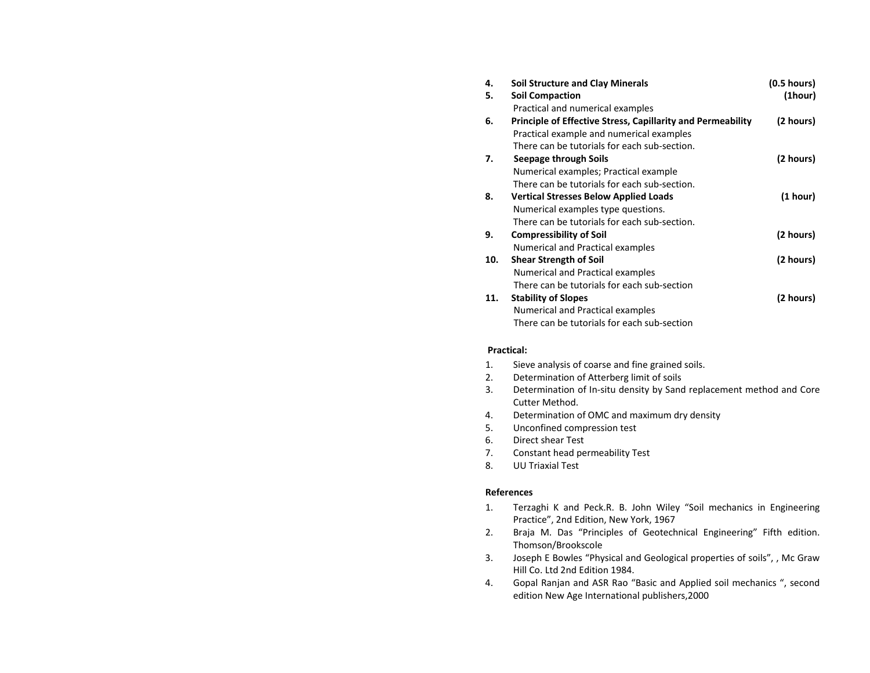| 4.  | <b>Soil Structure and Clay Minerals</b>                            | (0.5 hours) |
|-----|--------------------------------------------------------------------|-------------|
| 5.  | <b>Soil Compaction</b>                                             | (1hour)     |
|     | Practical and numerical examples                                   |             |
| 6.  | <b>Principle of Effective Stress, Capillarity and Permeability</b> | (2 hours)   |
|     | Practical example and numerical examples                           |             |
|     | There can be tutorials for each sub-section.                       |             |
| 7.  | Seepage through Soils                                              | (2 hours)   |
|     | Numerical examples; Practical example                              |             |
|     | There can be tutorials for each sub-section.                       |             |
| 8.  | <b>Vertical Stresses Below Applied Loads</b>                       | (1 hour)    |
|     | Numerical examples type questions.                                 |             |
|     | There can be tutorials for each sub-section.                       |             |
| 9.  | <b>Compressibility of Soil</b>                                     | (2 hours)   |
|     | Numerical and Practical examples                                   |             |
| 10. | <b>Shear Strength of Soil</b>                                      | (2 hours)   |
|     | Numerical and Practical examples                                   |             |
|     | There can be tutorials for each sub-section                        |             |
| 11. | <b>Stability of Slopes</b>                                         | (2 hours)   |
|     | Numerical and Practical examples                                   |             |
|     | There can be tutorials for each sub-section                        |             |

## **Practical:**

- 1.Sieve analysis of coarse and fine grained soils.
- 2.Determination of Atterberg limit of soils
- 3. Determination of In‐situ density by Sand replacement method and Core Cutter Method.
- 4.Determination of OMC and maximum dry density
- 5.Unconfined compression test
- 6.Direct shear Test
- 7.Constant head permeability Test
- 8.UU Triaxial Test

### **References**

- 1. Terzaghi K and Peck.R. B. John Wiley "Soil mechanics in Engineering Practice", 2nd Edition, New York, 1967
- 2. Braja M. Das "Principles of Geotechnical Engineering" Fifth edition. Thomson/Brookscole
- 3. Joseph E Bowles "Physical and Geological properties of soils", , Mc Graw Hill Co. Ltd 2nd Edition 1984.
- 4. Gopal Ranjan and ASR Rao "Basic and Applied soil mechanics ", second edition New Age International publishers,2000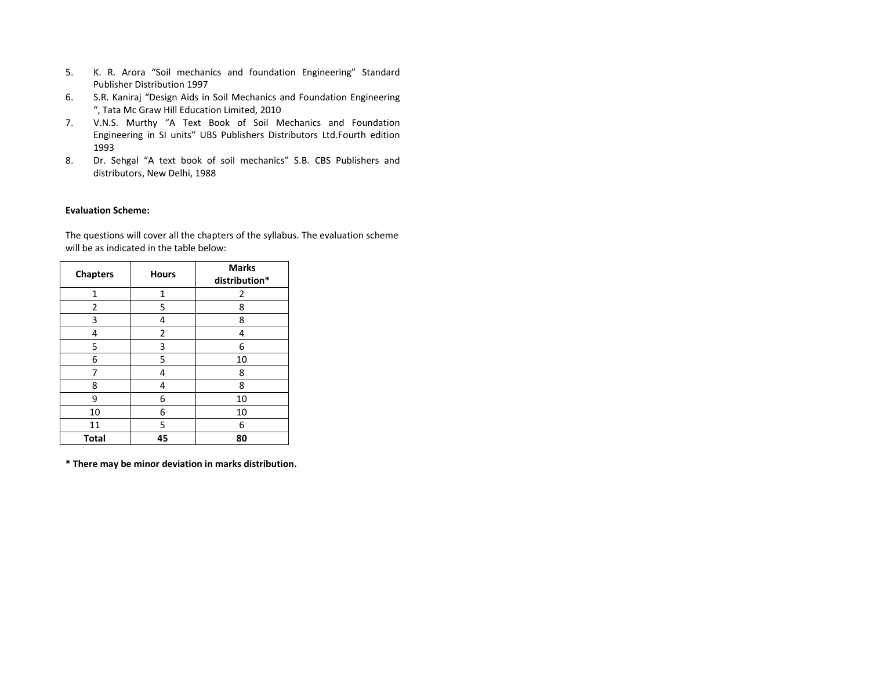- 5.. K. R. Arora "Soil mechanics and foundation Engineering" Standard Publisher Distribution 1997
- 6. S.R. Kaniraj "Design Aids in Soil Mechanics and Foundation Engineering ", Tata Mc Graw Hill Education Limited, 2010
- 7. V.N.S. Murthy "A Text Book of Soil Mechanics and Foundation Engineering in SI units" UBS Publishers Distributors Ltd.Fourth edition 1993
- 8. Dr. Sehgal "A text book of soil mechanics" S.B. CBS Publishers and distributors, New Delhi, 1988

### **Evaluation Scheme:**

The questions will cover all the chapters of the syllabus. The evaluation scheme will be as indicated in the table below:

| <b>Chapters</b> | <b>Hours</b> | <b>Marks</b><br>distribution* |
|-----------------|--------------|-------------------------------|
| 1               | 1            | 2                             |
| $\overline{2}$  | 5            | 8                             |
| 3               | 4            | 8                             |
| 4               | 2            | 4                             |
| 5               | 3            | 6                             |
| 6               | 5            | 10                            |
| 7               | 4            | 8                             |
| 8               | 4            | 8                             |
| 9               | 6            | 10                            |
| 10              | 6            | 10                            |
| 11              | 5            | 6                             |
| <b>Total</b>    | 45           | 80                            |

**\* There may be minor deviation in marks distribution.**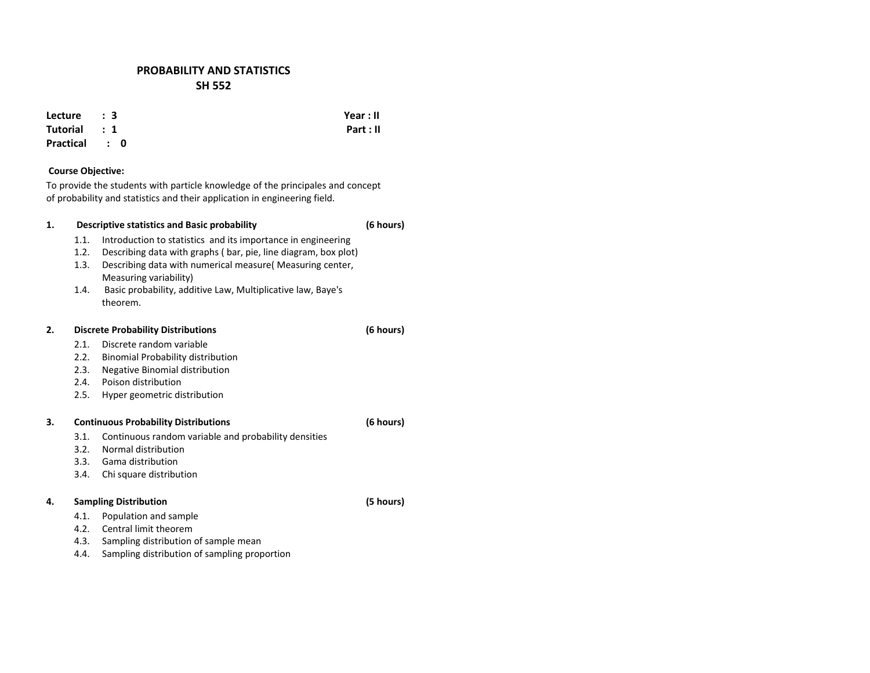## **PROBABILITY AND STATISTICS SH 552**

**Lecture: 3**

**Tutorial :1**

**Practical :0**

## **Course Objective:**

To provide the students with particle knowledge of the principales and concept of probability and statistics and their application in engineering field.

### **1. Descriptive statistics and Basic probability (6 hours)** 1.1.. Introduction to statistics and its importance in engineering 1.2. Describing data with graphs ( bar, pie, line diagram, box plot) 1.3. Describing data with numerical measure( Measuring center, Measuring variability) 1.4. Basic probability, additive Law, Multiplicative law, Baye's theorem.**2. Discrete Probability Distributions (6 hours)**  $2.1$  Discrete random variable  $2.2$  Binomial Probability distribution 2.3. Negative Binomial distribution 2.4. Poison distribution 2.5. Hyper geometric distribution **3. Continuous Probability Distributions (6 hours)** 3.1. Continuous random variable and probability densities 3.2. Normal distribution3.3. Gama distribution3.4.Chi square distribution

### **4.Sampling Distribution (5 hours)**

- 4.1.Population and sample
- 4.2.Central limit theorem
- 4.3.Sampling distribution of sample mean
- 4.4.Sampling distribution of sampling proportion

 **Year : II Part : II**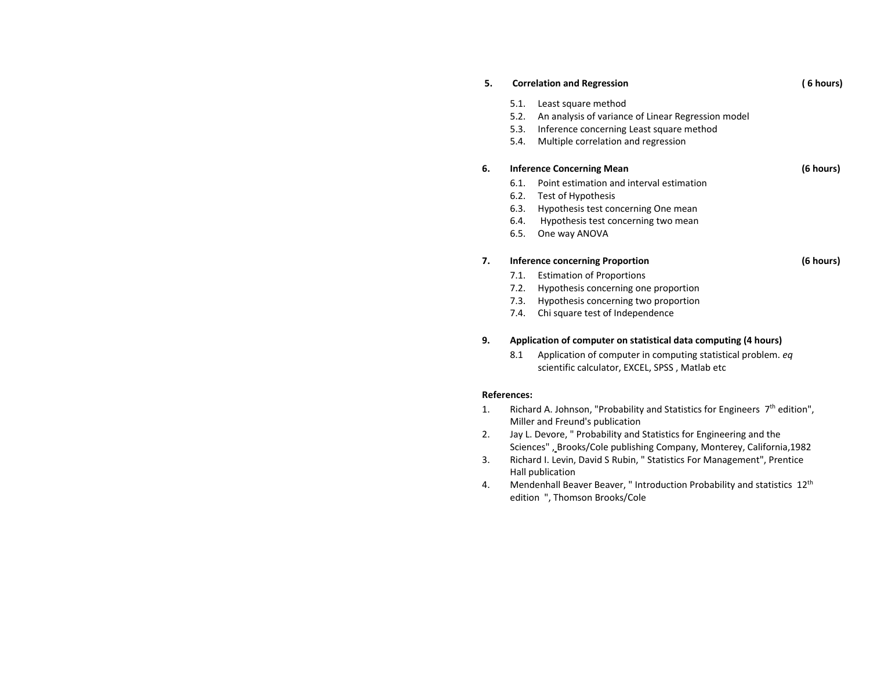| 5. |      | <b>Correlation and Regression</b>                  |           |
|----|------|----------------------------------------------------|-----------|
|    | 5.1. | Least square method                                |           |
|    | 5.2. | An analysis of variance of Linear Regression model |           |
|    | 5.3. | Inference concerning Least square method           |           |
|    | 5.4. | Multiple correlation and regression                |           |
| 6. |      | <b>Inference Concerning Mean</b>                   | (6 hours) |
|    | 6.1. | Point estimation and interval estimation           |           |
|    | 6.2. | Test of Hypothesis                                 |           |
|    | 6.3. | Hypothesis test concerning One mean                |           |
|    | 6.4. | Hypothesis test concerning two mean                |           |
|    | 6.5. | One way ANOVA                                      |           |
| 7. |      | Inference concerning Proportion                    | (6 hours) |
|    | 7.1. | <b>Estimation of Proportions</b>                   |           |
|    | 7.2. | Hypothesis concerning one proportion               |           |
|    | 7.3. | Hypothesis concerning two proportion               |           |

7.4. Chi square test of Independence

### **9.Application of computer on statistical data computing (4 hours)**

8.1 Application of computer in computing statistical problem. *eq* scientific calculator, EXCEL, SPSS , Matlab etc

## **References:**

- 1.. Richard A. Johnson, "Probability and Statistics for Engineers  $7<sup>th</sup>$  edition", Miller and Freund's publication
- 2. Jay L. Devore, " Probability and Statistics for Engineering and the Sciences" , Brooks/Cole publishing Company, Monterey, California,1982
- 3. Richard I. Levin, David S Rubin, " Statistics For Management", Prentice Hall publication
- 4.. Mendenhall Beaver Beaver, " Introduction Probability and statistics  $12^{th}$ edition ", Thomson Brooks/Cole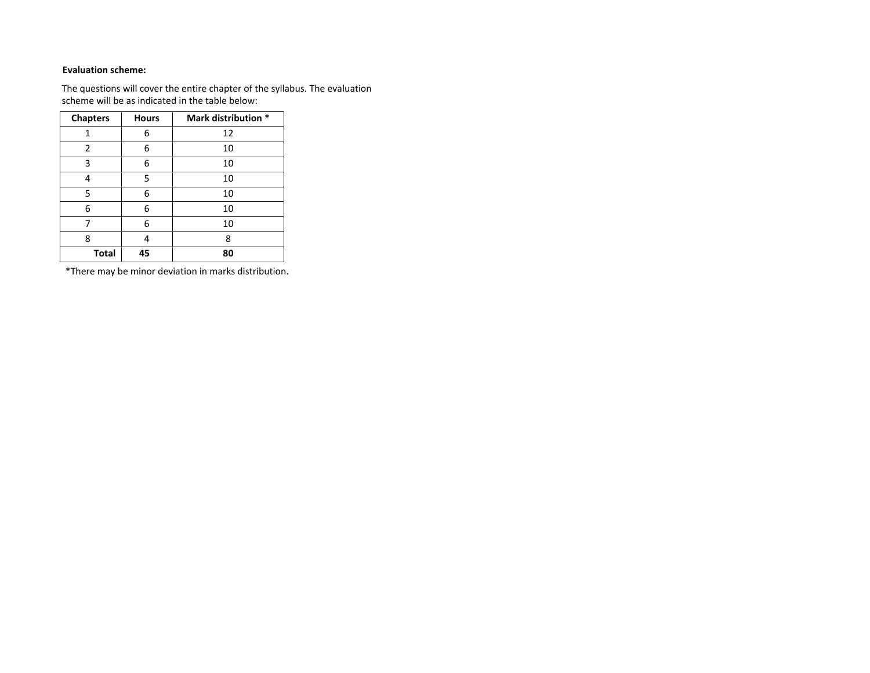## **Evaluation scheme:**

The questions will cover the entire chapter of the syllabus. The evaluation scheme will be as indicated in the table below:

| <b>Chapters</b> | <b>Hours</b> | Mark distribution * |
|-----------------|--------------|---------------------|
| 1               | 6            | 12                  |
| 2               | 6            | 10                  |
| 3               | 6            | 10                  |
| 4               | 5            | 10                  |
| 5               | 6            | 10                  |
| 6               | 6            | 10                  |
|                 | 6            | 10                  |
| 8               | 4            | 8                   |
| <b>Total</b>    | 45           | 80                  |

\*There may be minor deviation in marks distribution.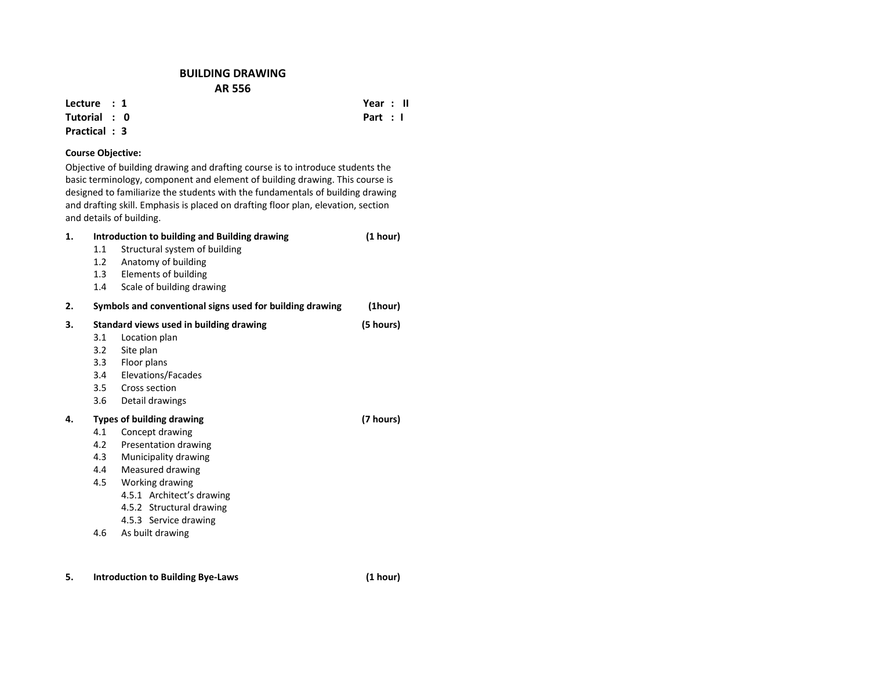## **BUILDING DRAWING AR 556**

**Lecture : 1**

**Tutorial : 0Practical : 3**

**5.**

## **Course Objective:**

Objective of building drawing and drafting course is to introduce students the basic terminology, component and element of building drawing. This course is designed to familiarize the students with the fundamentals of building drawing and drafting skill. Emphasis is placed on drafting floor plan, elevation, section and details of building.

| 1. |         | Introduction to building and Building drawing            | (1 hour)  |
|----|---------|----------------------------------------------------------|-----------|
|    | 1.1     | Structural system of building                            |           |
|    | 1.2     | Anatomy of building                                      |           |
|    | 1.3     | Elements of building                                     |           |
|    | $1.4\,$ | Scale of building drawing                                |           |
| 2. |         | Symbols and conventional signs used for building drawing | (1hour)   |
| 3. |         | Standard views used in building drawing                  | (5 hours) |
|    | 3.1     | Location plan                                            |           |
|    | 3.2     | Site plan                                                |           |
|    | 3.3     | Floor plans                                              |           |
|    | 3.4     | Elevations/Facades                                       |           |
|    | 3.5     | Cross section                                            |           |
|    | 3.6     | Detail drawings                                          |           |
| 4. |         | <b>Types of building drawing</b>                         | (7 hours) |
|    | 4.1     | Concept drawing                                          |           |
|    | 4.2     | Presentation drawing                                     |           |
|    | 4.3     | Municipality drawing                                     |           |
|    | 4.4     | Measured drawing                                         |           |
|    | 4.5     | Working drawing                                          |           |
|    |         | 4.5.1 Architect's drawing                                |           |
|    |         | 4.5.2 Structural drawing                                 |           |
|    |         | 4.5.3 Service drawing                                    |           |
|    | 4.6     | As built drawing                                         |           |
|    |         |                                                          |           |
|    |         |                                                          |           |
|    |         |                                                          |           |

 **Year : II Part : I**

**Introduction to Building Bye‐Laws (1 hour)**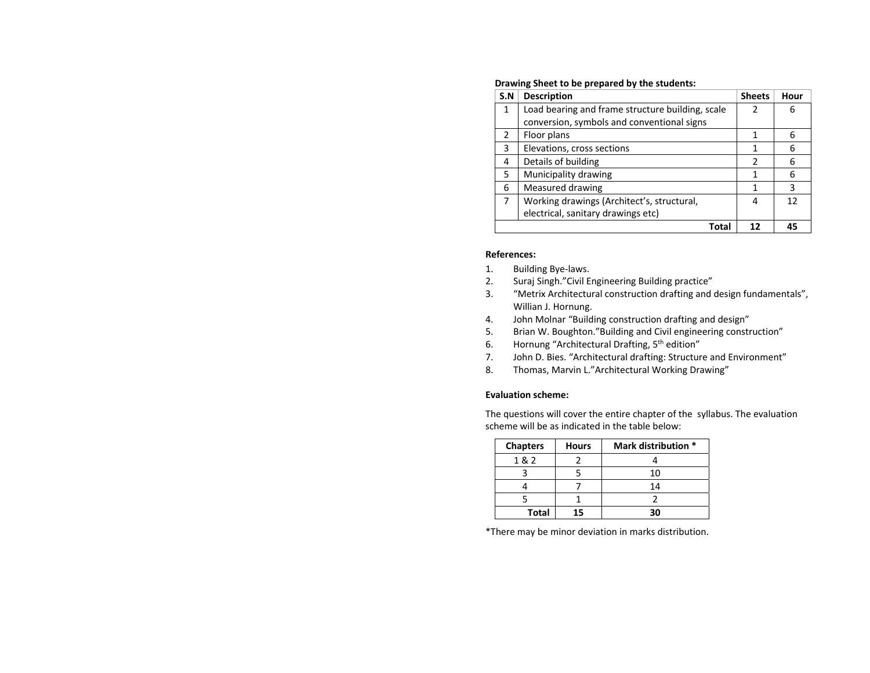| S.N           | <b>Description</b>                               | <b>Sheets</b> | Hour |
|---------------|--------------------------------------------------|---------------|------|
| $\mathbf{1}$  | Load bearing and frame structure building, scale | 2             | 6    |
|               | conversion, symbols and conventional signs       |               |      |
| $\mathcal{P}$ | Floor plans                                      | 1             | 6    |
| 3             | Elevations, cross sections                       | 1             | 6    |
| 4             | Details of building                              | 2             | 6    |
| 5             | Municipality drawing                             |               | 6    |
| 6             | Measured drawing                                 | 1             | 3    |
| 7             | Working drawings (Architect's, structural,       | 4             | 12   |
|               | electrical, sanitary drawings etc)               |               |      |
|               | Total                                            | 12            | 45   |

### **Drawing Sheet to be prepared by the students:**

### **References:**

- 1.Building Bye‐laws.
- 2.Suraj Singh."Civil Engineering Building practice"
- 3. "Metrix Architectural construction drafting and design fundamentals", Willian J. Hornung.
- 4.John Molnar "Building construction drafting and design"
- 5.Brian W. Boughton."Building and Civil engineering construction"
- 6.Hornung "Architectural Drafting, 5<sup>th</sup> edition"
- 7.John D. Bies. "Architectural drafting: Structure and Environment"
- 8.Thomas, Marvin L."Architectural Working Drawing"

### **Evaluation scheme:**

The questions will cover the entire chapter of the syllabus. The evaluation scheme will be as indicated in the table below:

| <b>Chapters</b> | <b>Hours</b> | Mark distribution * |
|-----------------|--------------|---------------------|
| 1&2             |              |                     |
|                 |              | 10                  |
|                 |              | 14                  |
|                 |              |                     |
| <b>Total</b>    | ב            |                     |

\*There may be minor deviation in marks distribution.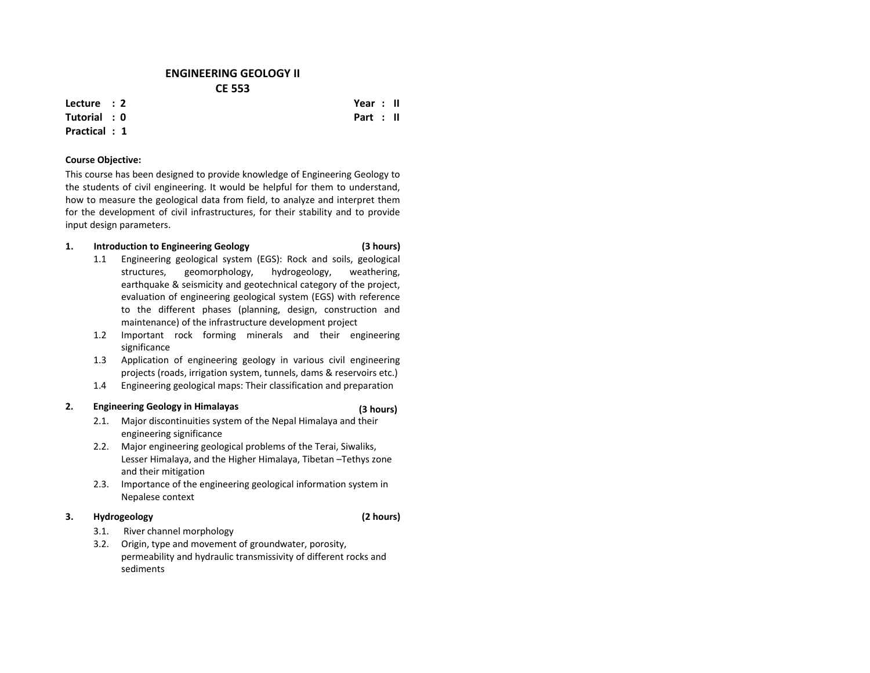## **ENGINEERING GEOLOGY II CE 553**

**Lecture : 2**

### **Tutorial : 0Practical : 1**

# **Course Objective:**

This course has been designed to provide knowledge of Engineering Geology to the students of civil engineering. It would be helpful for them to understand, how to measure the geological data from field, to analyze and interpret them for the development of civil infrastructures, for their stability and to provide input design parameters.

#### **1.Introduction to Engineering Geology (3 hours)**

- 1.1 Engineering geological system (EGS): Rock and soils, geological structures, geomorphology, hydrogeology, weathering, earthquake & seismicity and geotechnical category of the project, evaluation of engineering geological system (EGS) with reference to the different phases (planning, design, construction and maintenance) of the infrastructure development project
- 1.2 Important rock forming minerals and their engineering significance
- 1.3 Application of engineering geology in various civil engineering projects (roads, irrigation system, tunnels, dams & reservoirs etc.)
- 1.4Engineering geological maps: Their classification and preparation

### **2.Engineering Geology in Himalayas (3 hours)**

- 2.1. Major discontinuities system of the Nepal Himalaya and their engineering significance
- 2.2. Major engineering geological problems of the Terai, Siwaliks, Lesser Himalaya, and the Higher Himalaya, Tibetan –Tethys zone and their mitigation
- 2.3. Importance of the engineering geological information system in Nepalese context

#### **3.Hydrogeology (2 hours)**

- 3.1.River channel morphology
- 3.2. Origin, type and movement of groundwater, porosity, permeability and hydraulic transmissivity of different rocks and sediments

 **Year : II Part : II**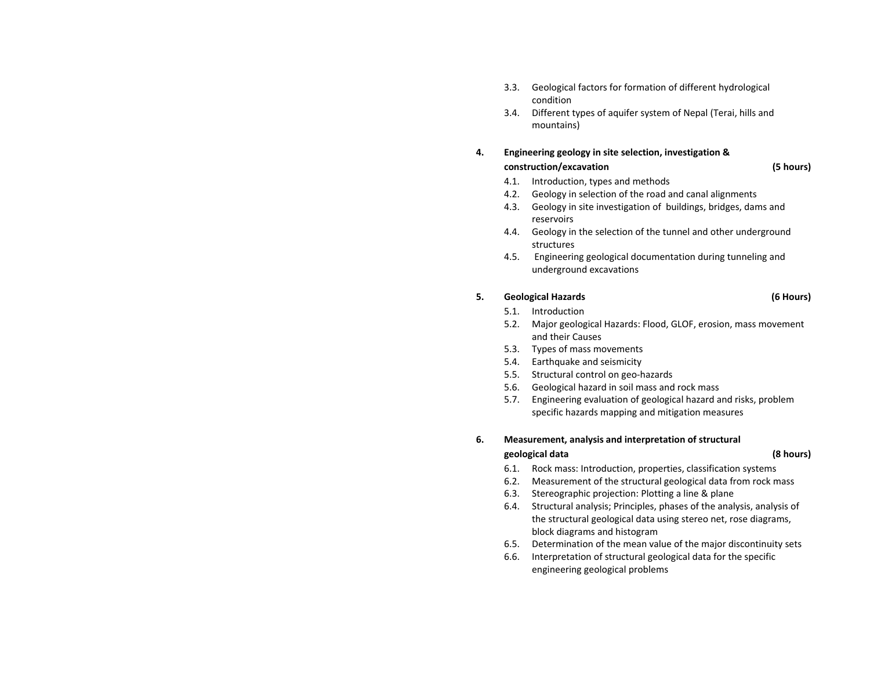- 3.3. Geological factors for formation of different hydrological condition
- 3.4. Different types of aquifer system of Nepal (Terai, hills and mountains)

### **4. Engineering geology in site selection, investigation & construction/excavation (5 hours)**

- 4.1.Introduction, types and methods
- 4.2.Geology in selection of the road and canal alignments
- 4.3. Geology in site investigation of buildings, bridges, dams and reservoirs
- 4.4. Geology in the selection of the tunnel and other underground structures
- 4.5. Engineering geological documentation during tunneling and underground excavations

### **5.Geological Hazards (6 Hours)**

- 5.1.Introduction
- 5.2. Major geological Hazards: Flood, GLOF, erosion, mass movement and their Causes
- 5.3.Types of mass movements
- 5.4.Earthquake and seismicity
- 5.5.. Structural control on geo-hazards
- 5.6.Geological hazard in soil mass and rock mass
- 5.7. Engineering evaluation of geological hazard and risks, problem specific hazards mapping and mitigation measures

### **6.Measurement, analysis and interpretation of structural**

## **geological data (8 hours)**

- 6.1.Rock mass: Introduction, properties, classification systems
- 6.2.Measurement of the structural geological data from rock mass
- 6.3.Stereographic projection: Plotting <sup>a</sup> line & plane
- 6.4. Structural analysis; Principles, phases of the analysis, analysis of the structural geological data using stereo net, rose diagrams, block diagrams and histogram
- 6.5.Determination of the mean value of the major discontinuity sets
- 6.6. Interpretation of structural geological data for the specific engineering geological problems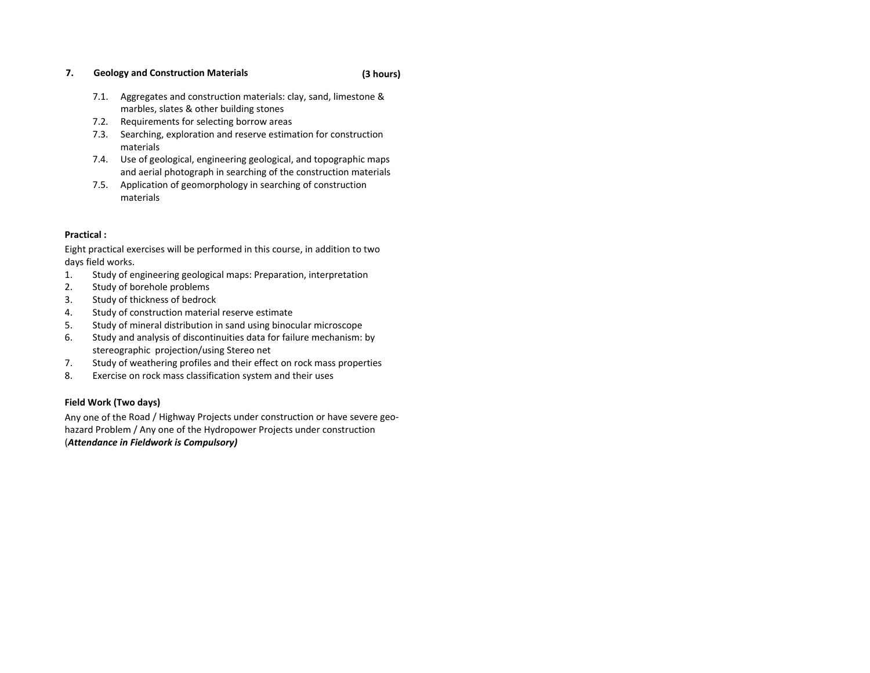### **7.Geology and Construction Materials (3**

- 7.1. Aggregates and construction materials: clay, sand, limestone & marbles, slates & other building stones
- 7.2.Requirements for selecting borrow areas
- 7.3. Searching, exploration and reserve estimation for construction materials
- 7.4. Use of geological, engineering geological, and topographic maps and aerial photograph in searching of the construction materials
- 7.5. Application of geomorphology in searching of construction materials

## **Practical :**

Eight practical exercises will be performed in this course, in addition to two days field works.

- 1.Study of engineering geological maps: Preparation, interpretation
- 2.Study of borehole problems
- 3.Study of thickness of bedrock
- 4.Study of construction material reserve estimate
- 5.Study of mineral distribution in sand using binocular microscope
- 6. Study and analysis of discontinuities data for failure mechanism: by stereographic projection/using Stereo net
- 7.Study of weathering profiles and their effect on rock mass properties
- 8.Exercise on rock mass classification system and their uses

## **Field Work (Two days)**

Any one of the Road / Highway Projects under construction or have severe geo‐ hazard Problem / Any one of the Hydropower Projects under construction (*Attendance in Fieldwork is Compulsory)*

## **hours)**